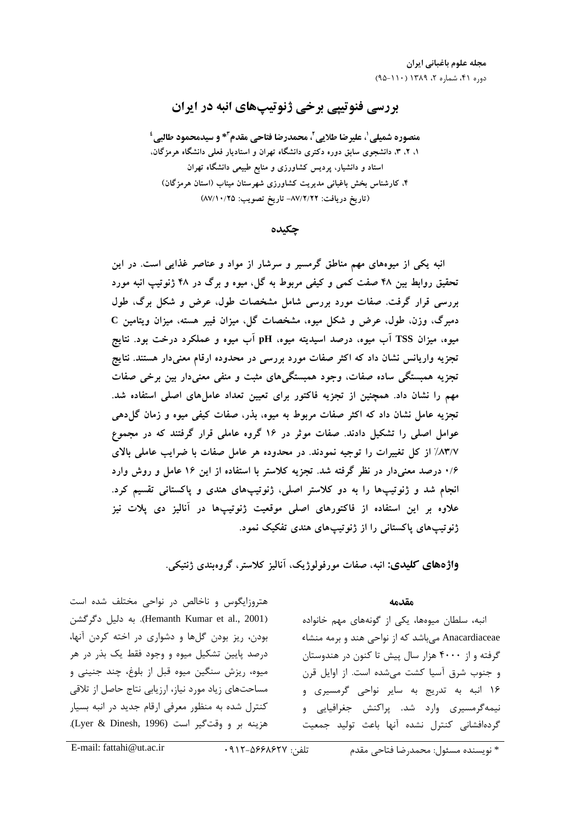# بررسي فنوتيپي برخي ژنوتيپهاي انبه در ايران

منصوره شميلي <sup>י</sup>، عليرضا طلايي <sup>٢</sup>، محمدرضا فتاحي مقدم <sup>٣</sup>\* و سيدمحمود طالبي <sup>؛</sup> ۱، ۲، ۳، دانشجوی سابق دوره دکتری دانشگاه تهران و استادیار فعلی دانشگاه هرمزگان، استاد و دانشیار، پردیس کشاورزی و منابع طبیعی دانشگاه تهران ۴، کارشناس بخش باغبانی مدیریت کشاورزی شهرستان میناب (استان هرمزگان) (تاريخ دريافت: ٨٧/٢/٢٢- تاريخ تصويب: ٨٧/١٠/٢٥)

## چكيده

انبه یکی از میوههای مهم مناطق گرمسیر و سرشار از مواد و عناصر غذایی است. در این تحقیق روابط بین ۴۸ صفت کمی و کیفی مربوط به گل، میوه و برگ در ۴۸ ژنوتیپ انبه مورد بررسی قرار گرفت. صفات مورد بررسی شامل مشخصات طول، عرض و شکل برگ، طول دمبرگ، وزن، طول، عرض و شکل میوه، مشخصات گل، میزان فیبر هسته، میزان ویتامین C میوه، میزان TSS اب میوه، درصد اسیدیته میوه، pH اب میوه و عملکرد درخت بود. نتایج تجزیه واریانس نشان داد که اکثر صفات مورد بررسی در محدوده ارقام معنیدار هستند. نتایج تجزیه همبستگی ساده صفات، وجود همبستگیهای مثبت و منفی معنیدار بین برخی صفات مهم را نشان داد. همچنین از تجزیه فاکتور برای تعیین تعداد عاملهای اصلی استفاده شد. تجزیه عامل نشان داد که اکثر صفات مربوط به میوه، بذر، صفات کیفی میوه و زمان گل1دهی عوامل اصلی را تشکیل دادند. صفات موثر در ۱۶ گروه عاملی قرار گرفتند که در مجموع ۸۳/۷٪ از کل تغییرات را توجیه نمودند. در محدوده هر عامل صفات با ضرایب عاملی بالای ۰/۶ درصد معنیدار در نظر گرفته شد. تجزیه کلاستر با استفاده از این ۱۶ عامل و روش وارد انجام شد و ژنوتیپها را به دو کلاستر اصلی، ژنوتیپهای هندی و پاکستانی تقسیم کرد. علاوه بر این استفاده از فاکتورهای اصلی موقعیت ژنوتیپها در انالیز دی پلات نیز ژنوتیپهای پاکستانی را از ژنوتیپهای هندی تفکیک نمود.

**واژههای کلیدی:** انبه، صفات مورفولوژیک، آنالیز کلاستر، گروهبندی ژنتیکی.

### مقدمه

نبه، سلطان میوهها، یکی از گونهها*ی م*هم خانواده <u>:</u> \* Anacardiaceae می باشد که از نواحی هند و برمه منشاء .<br>د گرفته و از ۴۰۰۰ هزار سال پیش تا کنون در هندوستان ه جنوب شرق آسيا كشت مرشده است. از اوابل قن ۱۶ انبه به تد<sub>ریج</sub> به ساد نواحی گرمسدی و .<br>ذ .<br>نیمهگرمسیری وارد شد. پراکنش جغرافیایی و گەدەافشانى كنتال نشدە آنھا ياعث تولىد جمعيت

هترهزاری<br>هنرهزاری و مسلم از در نواحی مختلف شده است .<br>ذ 9.;.1 I+N1 (6 .(Hemanth Kumar et al., 2001) ودن، ، د: پودن گا ها و دشوار*ی د*ر اخته کردن آنما، .<br>د د، صد بابت تشکیل میوه و وجود فقط یک بذر در هر ميوه، . دنش سنگين ميوه قبل إز بلوغ، جند جنيني و مساحتهای : باد مورد نباز، ارزبایی نتاج حاصل از تلاقی كنتال شده به منظور معرف ارقام حديد در انبه بسيار هزينه بر و وقت گير است (Lyer & Dinesh, 1996).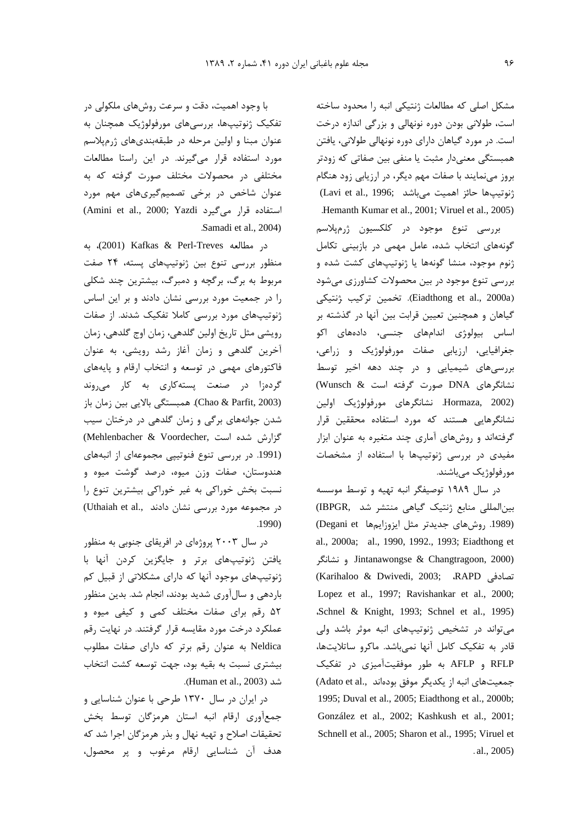مشکل اصلی که مطالعات ژنتیکی انبه را محدود ساخته است، طولانی بودن دوره نونهالی و بزرگی اندازه درخت است. در مورد گیاهان دارای دوره نونهالی طولانی، یافتن همبستگی معنیدار مثبت یا منفی بین صفاتی که زودتر بروز مینمایند با صفات مهم دیگر، در ارزیابی زود هنگام (نوتيبها حائز اهميت مي باشد) (Lavi et al., 1996; Hemanth Kumar et al., 2001; Viruel et al., 2005)

بررسی تنوع موجود در کلکسیون ژرمپلاسم گونههای انتخاب شده، عامل مهمی در بازبینی تکامل ژنوم موجود، منشا گونهها یا ژنوتیپهای کشت شده و بررسی تنوع موجود در بین محصولات کشاورزی میشود (Eiadthong et al., 2000a). تخمین ترکیب ژنتیکی گیاهان و همچنین تعیین قرابت بین آنها در گذشته بر اساس بیولوژی اندامهای جنسی، دادههای اکو جغرافیایی، ارزیابی صفات مورفولوژیک و زراعی، بررسیهای شیمیایی و در چند دهه اخیر توسط نشانگرهای DNA صورت گرفته است & Wunsch) Hormaza, 2002). نشانگرهای مورفولوژیک اولین نشانگرهایی هستند که مورد استفاده محققین قرار گرفتهاند و روشهای آماری چند متغیره به عنوان ابزار مفیدی در بررسی ژنوتیپها با استفاده از مشخصات مورفولوژیک میباشند.

در سال ۱۹۸۹ توصیفگر انبه تهیه و توسط موسسه بين المللي منابع ژنتيک گياهي منتشر شد .IBPGR) (1989. روش های جدیدتر مثل ایزوزایم ها Degani et) al., 2000a; al., 1990, 1992., 1993; Eiadthong et و نشانگر Jintanawongse & Changtragoon, 2000) (Karihaloo & Dwivedi, 2003; .RAPD) تصادفی Lopez et al., 1997; Ravishankar et al., 2000; Schnel & Knight, 1993; Schnel et al., 1995) می تواند در تشخیص ژنوتیپهای انبه موثر باشد ولی قادر به تفكيك كامل آنها نمى باشد. ماكرو ساتلايتها، RFLP و AFLP به طور موفقیتآمیزی در تفکیک جمعیتهای انبه از یکدیگر موفق بودهاند ,.Adato et al 1995; Duval et al., 2005; Eiadthong et al., 2000b; González et al., 2002; Kashkush et al., 2001; Schnell et al., 2005; Sharon et al., 1995; Viruel et  $al., 2005)$ 

با وجود اهمیت، دقت و سرعت روشهای ملکولی در تفکیک ژنوتیپها، بررسیهای مورفولوژیک همچنان به عنوان مبنا و اولین مرحله در طبقهبندیهای ژرمیلاسم مورد استفاده قرار میگیرند. در این راستا مطالعات مختلفی در محصولات مختلف صورت گرفته که به عنوان شاخص در برخی تصمیم گیری های مهم مورد (Amini et al., 2000; Yazdi استفاده قرار می گیرد) Samadi et al., 2004)

در مطالعه Perl-Treves به (2001). به منظور بررسی تنوع بین ژنوتیپهای پسته، ۲۴ صفت مربوط به برگ، برگچه و دمبرگ، بیشترین چند شکلی را در جمعیت مورد بررسی نشان دادند و بر این اساس ژنوتیپهای مورد بررسی کاملا تفکیک شدند. از صفات رویشی مثل تاریخ اولین گلدهی، زمان اوج گلدهی، زمان آخرین گلدهی و زمان آغاز رشد رویشی، به عنوان فاکتورهای مهمی در توسعه و انتخاب ارقام و پایههای گردهزا در صنعت پستهکاری به کار می روند (Chao & Parfit, 2003). همبستگي بالايي بين زمان باز شدن جوانههای برگی و زمان گلدهی در درختان سیب (Mehlenbacher & Voordecher, كزارش شده است (1991. در بررسی تنوع فنوتیپی مجموعهای از انبههای هندوستان، صفات وزن میوه، درصد گوشت میوه و نسبت بخش خوراکی به غیر خوراکی بیشترین تنوع را در مجموعه مورد بررسی نشان دادند ..Uthaiah et al .1990)

در سال ۲۰۰۳ پروژهای در افریقای جنوبی به منظور یافتن ژنوتیپهای برتر و جایگزین کردن آنها با ژنوتیپهای موجود آنها که دارای مشکلاتی از قبیل کم باردهی و سالآوری شدید بودند، انجام شد. بدین منظور ۵۲ رقم برای صفات مختلف کمی و کیفی میوه و عملکرد درخت مورد مقایسه قرار گرفتند. در نهایت رقم Neldica به عنوان رقم برتر كه داراى صفات مطلوب بیشتری نسبت به بقیه بود، جهت توسعه کشت انتخاب شد (Human et al., 2003).

در ایران در سال ۱۳۷۰ طرحی با عنوان شناسایی و جمع آوري ارقام انبه استان هرمزگان توسط بخش تحقیقات اصلاح و تهیه نهال و بذر هرمزگان اجرا شد که هدف آن شناسایی ارقام مرغوب و پر محصول،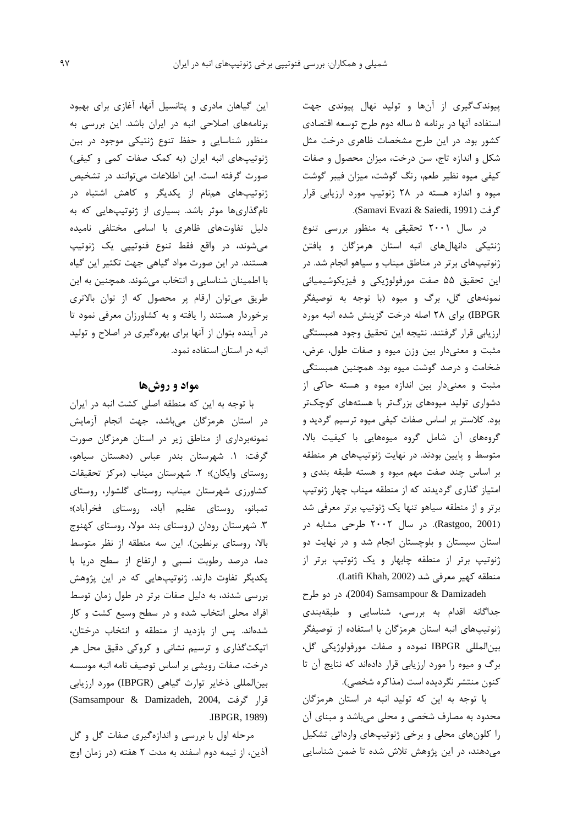ییوندک گیری از آنها و تولید نهال پیوندی جهت استفاده آنها در برنامه ۵ ساله دوم طرح توسعه اقتصادى کشور بود. در این طرح مشخصات ظاهری درخت مثل شکل و اندازه تاج، سن درخت، میزان محصول و صفات کیفی میوه نظیر طعم، رنگ گوشت، میزان فیبر گوشت میوه و اندازه هسته در ۲۸ ژنوتیپ مورد ارزیابی قرار گرفت (Samavi Evazi & Saiedi, 1991).

در سال ۲۰۰۱ تحقیقی به منظور بررسی تنوع ژنتیکی دانهالهای انبه استان هرمزگان و یافتن ژنوتیپهای برتر در مناطق میناب و سیاهو انجام شد. در این تحقیق ۵۵ صفت مورفولوژیکی و فیزیکوشیمیائی نمونههای گل، برگ و میوه (با توجه به توصیفگر IBPGR) برای ۲۸ اصله درخت گزینش شده انبه مورد ارزيابي قرار گرفتند. نتيجه اين تحقيق وجود همبستگي مثبت و معنىدار بين وزن ميوه و صفات طول، عرض، ضخامت و درصد گوشت میوه بود. همچنین همبستگی مثبت و معنى دار بين اندازه ميوه و هسته حاكى از دشواری تولید میوههای بزرگتر با هستههای کوچکتر بود. کلاستر بر اساس صفات کیفی میوه ترسیم گردید و گروههای آن شامل گروه میوههایی با کیفیت بالا، متوسط و پایین بودند. در نهایت ژنوتیپهای هر منطقه بر اساس چند صفت مهم میوه و هسته طبقه بندی و امتیاز گذاری گردیدند که از منطقه میناب چهار ژنوتیپ برتر و از منطقه سیاهو تنها یک ژنوتیپ برتر معرفی شد (Rastgoo, 2001). در سال ۲۰۰۲ طرحی مشابه در استان سیستان و بلوچستان انجام شد و در نهایت دو ژنوتیپ برتر از منطقه چابهار و یک ژنوتیپ برتر از منطقه كهير معرفي شد (Latifi Khah, 2002).

(2004) Samsampour & Damizadeh (2004)، در دو طرح جداگانه اقدام به بررسی، شناسایی و طبقهبندی ژنوتیپهای انبه استان هرمزگان با استفاده از توصیفگر بين المللي IBPGR نموده و صفات مورفولوژيکي گل، برگ و میوه را مورد ارزیابی قرار دادهاند که نتایج آن تا كنون منتشر نگرديده است (مذاكره شخصي).

با توجه به این که تولید انبه در استان هرمزگان محدود به مصارف شخصی و محلی میباشد و مبنای آن را کلونهای محلی و برخی ژنوتیپهای وارداتی تشکیل میدهند، در این پژوهش تلاش شده تا ضمن شناسایی

این گیاهان مادری و پتانسیل آنها، آغازی برای بهبود برنامههای اصلاحی انبه در ایران باشد. این بررسی به منظور شناسایی و حفظ تنوع ژنتیکی موجود در بین ژنوتیپهای انبه ایران (به کمک صفات کمی و کیفی) صورت گرفته است. این اطلاعات میتوانند در تشخیص ژنوتیپهای همنام از یکدیگر و کاهش اشتباه در نامگذاریها موثر باشد. بسیاری از ژنوتیپهایی که به دلیل تفاوتهای ظاهری با اسامی مختلفی نامیده میشوند، در واقع فقط تنوع فنوتیپی یک ژنوتیپ هستند. در این صورت مواد گیاهی جهت تکثیر این گیاه با اطمینان شناسایی و انتخاب میشوند. همچنین به این طریق میتوان ارقام پر محصول که از توان بالاتری برخوردار هستند را یافته و به کشاورزان معرفی نمود تا در آینده بتوان از آنها برای بهرهگیری در اصلاح و تولید انبه در استان استفاده نمود.

# مواد و روشها

با توجه به این که منطقه اصلی کشت انبه در ایران در استان هرمزگان میباشد، جهت انجام آزمایش نمونهبرداری از مناطق زیر در استان هرمزگان صورت گرفت: ١. شهرستان بندر عباس (دهستان سياهو، روستای وایکان)؛ ۲. شهرستان میناب (مرکز تحقیقات کشاورزی شهرستان میناب، روستای گلشوار، روستای تمبانو، روستای عظیم آباد، روستای فخرآباد)؛ ۳. شهرستان رودان (روستای بند مولا، روستای کهنوج بالا، روستای برنطین). این سه منطقه از نظر متوسط دما، درصد رطوبت نسبی و ارتفاع از سطح دریا با یکدیگر تفاوت دارند. ژنوتیپهایی که در این پژوهش بررسی شدند، به دلیل صفات برتر در طول زمان توسط افراد محلی انتخاب شده و در سطح وسیع کشت و کار شدهاند. پس از بازدید از منطقه و انتخاب درختان، اتیکتگذاری و ترسیم نشانی و کروکی دقیق محل هر درخت، صفات رويشي بر اساس توصيف نامه انبه موسسه بين المللي ذخاير توارث كياهي (IBPGR) مورد ارزيابي (Samsampour & Damizadeh, 2004, قرار گرفت **IBPGR, 1989)** 

مرحله اول با بررسی و اندازهگیری صفات گل و گل آذين، از نيمه دوم اسفند به مدت ٢ هفته (در زمان اوج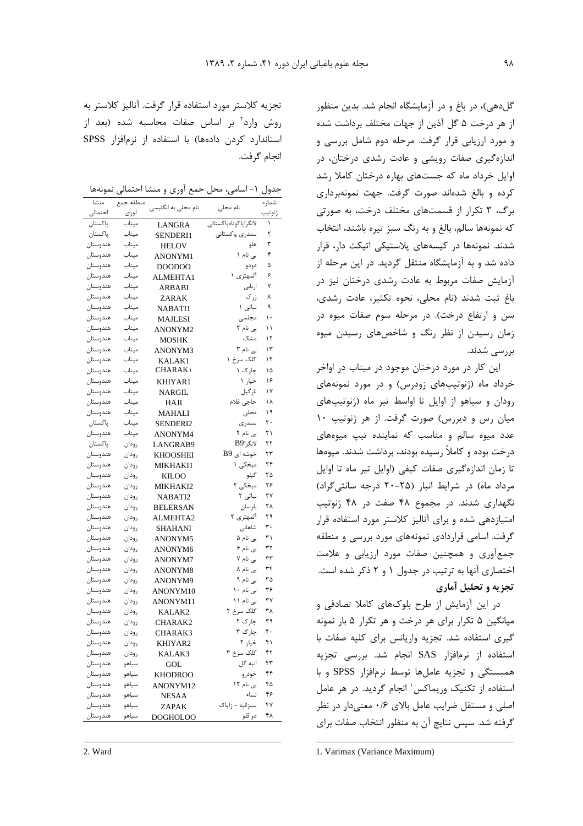گل دهی)، در باغ و در آزمایشگاه انجام شد. بدین منظور از هر درخت ۵ گل آذین از جهات مختلف برداشت شده و مورد ارزیابی قرار گرفت. مرحله دوم شامل بررسی و اندازهگیری صفات رویشی و عادت رشدی درختان، در اوایل خرداد ماه که جستهای بهاره درختان کاملا رشد كرده و بالغ شدهاند صورت گرفت. جهت نمونهبرداري برگ، ۳ تکرار از قسمتهای مختلف درخت، به صورتی که نمونهها سالم، بالغ و به رنگ سبز تیره باشند، انتخاب شدند. نمونهها در کیسههای پلاستیکی اتیکت دار، قرار داده شد و به آزمایشگاه منتقل گردید. در این مرحله از آزمایش صفات مربوط به عادت رشدی درختان نیز در باغ ثبت شدند (نام محلی، نحوه تکثیر، عادت رشدی، سن و ارتفاع درخت). در مرحله سوم صفات میوه در زمان رسیدن از نظر رنگ و شاخصهای رسیدن میوه بررسے شدند.

این کار در مورد درختان موجود در میناب در اواخر خرداد ماه (ژنوتیپهای زودرس) و در مورد نمونههای رودان و سیاهو از اوایل تا اواسط تیر ماه (ژنوتیپهای میان رس و دیررس) صورت گرفت. از هر ژنوتیپ ۱۰ عدد میوه سالم و مناسب که نماینده تیپ میوههای درخت بوده و کاملاً رسیده بودند، برداشت شدند. میوهها تا زمان اندازهگیری صفات کیفی (اوایل تیر ماه تا اوایل مرداد ماه) در شرایط انبار (۲۵-۲۰ درجه سانتی گراد) نگهداری شدند. در مجموع ۴۸ صفت در ۴۸ ژنوتیپ امتیازدهی شده و برای آنالیز کلاستر مورد استفاده قرار گرفت. اسامی قراردادی نمونههای مورد بررسی و منطقه جمع آوری و همچنین صفات مورد ارزیابی و علامت اختصاری آنها به ترتیب در جدول ۱ و ۲ ذکر شده است. تجزیه و تحلیل آماری

در این آزمایش از طرح بلوکهای کاملا تصادفی و میانگین ۵ تکرار برای هر درخت و هر تکرار ۵ بار نمونه گیری استفاده شد. تجزیه واریانس برای کلیه صفات با استفاده از نرمافزار SAS انجام شد. بررسی تجزیه همبستگی و تجزیه عاملها توسط نرمافزار SPSS و با استفاده از تکنیک وریماکس' انجام گردید. در هر عامل اصلی و مستقل ضرایب عامل بالای ۰/۶ معنی دار در نظر گرفته شد. سیس نتایج آن به منظور انتخاب صفات برای

تجزیه کلاستر مورد استفاده قرار گرفت. آنالیز کلاستر به روش وارد" بر اساس صفات محاسبه شده (بعد از استاندارد کردن دادهها) با استفاده از نرمافزار SPSS انجام گرفت.

جدول ۱- اسامی، محل جمع آوری و منشا احتمالی نمونهها

| منشا     | منطقه جمع | نام محلی به انگلیسی | نام محلي              | شماره  |
|----------|-----------|---------------------|-----------------------|--------|
| احتمالى  | اورى      |                     |                       | ژنوتيپ |
| پاکستان  | ميناب     | LANGRA              | لانگراپاکوتاهپاکستانی | ١      |
| پاکستان  | ميناب     | SENDERI1            | سندرى پاكستانى        | ٢      |
| هندوستان | ميناب     | <b>HELOV</b>        | هلو                   | ٣      |
| هندوستان | ميناب     | <b>ANONYM1</b>      | بی نام ۱              | ۴      |
| هندوستان | ميناب     | DOODOO              | دودو                  | ۵      |
| هندوستان | ميناب     | ALMEHTA1            | المهتری ۱             | ۶      |
| هندوستان | ميناب     | ARBABI              | اربابى                | ٧      |
| هندوستان | ميناب     | ZARAK               | زرگ                   | ٨      |
| هندوستان | ميناب     | <b>NABATI1</b>      | نباتی ۱               | ٩      |
| هندوستان | ميناب     | MAJLESI             | مجلسى                 | ۱۰     |
| هندوستان | ميناب     | ANONYM2             | بی نام ۲              | ۱۱     |
| هندوستان | ميناب     | MOSHK               | مشک                   | ۱۲     |
| هندوستان | ميناب     | ANONYM3             | بی نام ۳              | ۱۳     |
| هندوستان | ميناب     | KALAK1              | کلک سرخ ۱             | ۱۴     |
| هندوستان | ميناب     | CHARAK)             | چارک ۱                | ۱۵     |
| هندوستان | ميناب     | KHIYAR1             | خيار ١                | ۱۶     |
| هندوستان | ميناب     | NARGIL              | نارگيل                | ۱۷     |
| هندوستان | ميناب     | <b>HAJI</b>         | حاجى غلام             | ۱۸     |
| هندوستان | ميناب     | <b>MAHALI</b>       | محلى                  | ۱۹     |
| ياكستان  | ميناب     | SENDERI2            | سندرى                 | ٢٠     |
| هندوستان | ميناب     | ANONYM4             | ہے نام ۴              | ۲۱     |
| پاکستان  | رودان     | LANGRAB9            | لانگراB9              | ۲۲     |
| هندوستان | رودان     | KHOOSHEI            | خوشه ای B9            | ۲۳     |
| هندوستان | رودان     | <b>MIKHAKI1</b>     | میخکی ۱               | ۲۴     |
| هندوستان | رودان     | KILOO               | كيلو                  | ۲۵     |
| هندوستان | رودان     | <b>MIKHAKI2</b>     | میخکی ۲               | ۲۶     |
| هندوستان | رودان     | NABATI2             | نباتی ۲               | ۲۷     |
| هندوستان | رودان     | <b>BELERSAN</b>     | بلرسان                | ۲۸     |
| هندوستان | رودان     | ALMEHTA2            | آلمهتری ۲             | ۲۹     |
| هندوستان | رودان     | <b>SHAHANI</b>      | شاهانی                | ٣٠     |
| هندوستان | رودان     | ANONYM5             | بی نام ۵              | ۳۱     |
| هندوستان | رودان     | ANONYM6             | بی نام ۶              | ٣٢     |
| هندوستان | رودان     | ANONYM7             | بی نام ۷              | ٣٣     |
| هندوستان | رودان     | ANONYM8             | بی نام ۸              | ٣۴     |
| هندوستان | رودان     | ANONYM9             | بی نام ۹              | ۳۵     |
| هندوستان | رودان     | ANONYM10            | بی نام ۱۰             | ۳۶     |
| هندوستان | رودان     | ANONYM11            | بی نام ۱۱             | ٣٧     |
| هندوستان | رودان     | KALAK2              | کلک سرخ ۲             | ۳۸     |
| هندوستان | رودان     | CHARAK2             | چارک ۲                | ٣٩     |
| هندوستان | رودان     | CHARAK3             | چارک ۳                | ۴۰     |
| هندوستان | رودان     | KHIYAR2             | خیار ۲                | ۴۱     |
| هندوستان | رودان     | KALAK3              | کلک سرخ ۳             | ۴۲     |
| هندوستان | سياهو     | GOL                 | انبه گل               | ۴۳     |
| هندوستان | سياهو     | <b>KHODROO</b>      | خودرو                 | ۴۴     |
| هندوستان | سياهو     | ANONYM12            | بی نام ۱۲             | ۴۵     |
| هندوستان | سياهو     | NESAA               | نساء                  | ۴۶     |
| هندوستان | سياهو     | ZAPAK               | سبزانبه - زاياك       | ۴٧     |
| هندوستان | سياهو     | <b>DOGHOLOO</b>     | دو قلو                | ۴۸     |

1. Varimax (Variance Maximum)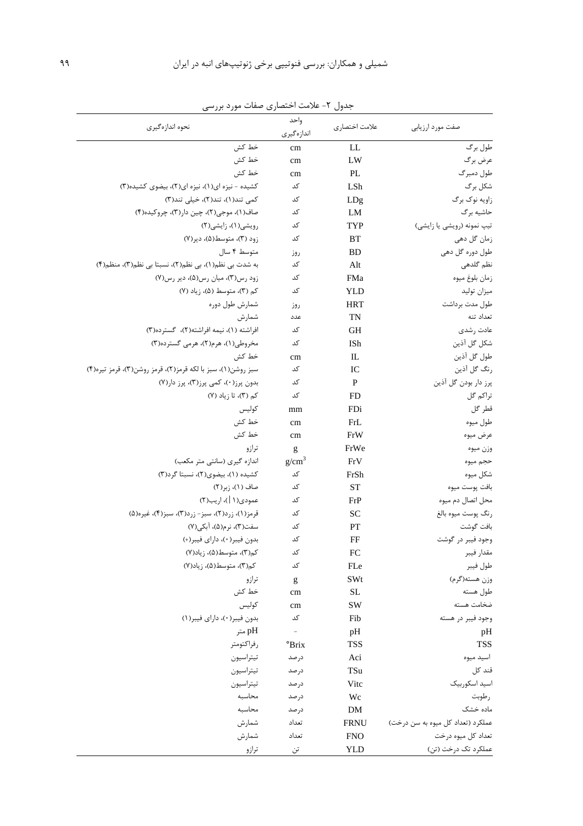| نحوه اندازهگیری                                             | واحد<br>اندازهگیری | علامت اختصاري | صفت مورد ارزيابي                  |
|-------------------------------------------------------------|--------------------|---------------|-----------------------------------|
| خط كش                                                       | cm                 | LL            | طول برگ                           |
| خط كش                                                       | cm                 | LW            | عرض برگ                           |
| خط کش                                                       | cm                 | PL            | طول دمبرگ                         |
| کشیده - نیزه ای(۱)، نیزه ای(۲)، بیضوی کشیده(۳)              | کد                 | LSh           | شكل برگ                           |
| کمی تند(۱)، تند(۲)، خیلی تند(۳)                             | کد                 | LDg           | زاويه نوک برگ                     |
| صاف(١)، موجي(٢)، چين دار(٣)، چروکيده(۴)                     | کد                 | LM            | حاشيه برگ                         |
| رویشی(۱)، زایشی(۲)                                          | کد                 | TYP           | تیپ نمونه (رویشی یا زایشی)        |
| زود (۳)، متوسط(۵)، دير(۷)                                   | کد                 | BT            | زمان گل دهی                       |
| متوسط ۴ سال                                                 | روز                | <b>BD</b>     | طول دوره گل دهی                   |
| به شدت بی نظم(۱)، بی نظم(۲)، نسبتا بی نظم(۳)، منظم(۴)       | کد                 | Alt           | نظم گلدھی                         |
| زود رس (٣)، ميان رس (۵)، دير رس (٧)                         | کد                 | <b>FMa</b>    | زمان بلوغ ميوه                    |
| کم (۳)، متوسط (۵)، زياد (۷)                                 | کد                 | YLD           | ميزان توليد                       |
| شمارش طول دوره                                              | روز                | <b>HRT</b>    | طول مدت برداشت                    |
| شمارش                                                       | عدد                | <b>TN</b>     | تعداد تنه                         |
| افراشته (١)، نيمه افراشته(٢)، گسترده(٣)                     | کد                 | <b>GH</b>     | عادت رشدى                         |
| مخروطی(۱)، هرم(۲)، هرمی گسترده(۳)                           | کد                 | ISh           | شكل گل آذين                       |
| خط کش                                                       | cm                 | IL            | طول گل آذين                       |
| سبز روشن(۱)، سبز با لكه قرمز(۲)، قرمز روشن(۳)، قرمز تيره(۴) | کد                 | IC            | رنگ گل آذين                       |
| بدون پرز(٠)، کمی پرز(٣)، پرز دار(٧)                         | کد                 | $\mathbf{P}$  | پرز دار بودن گل آذين              |
| کم (۳)، تا زیاد (۷)                                         | کد                 | <b>FD</b>     | تراكم گل                          |
| كوليس                                                       | mm                 | FDi           | قطر گل                            |
| خط كش                                                       | cm                 | FrL           | طول ميوه                          |
| خط کش                                                       | cm                 | FrW           | عرض ميوه                          |
| ترازو                                                       | g                  | FrWe          | وزن ميوه                          |
| اندازه گیری (سانتی متر مکعب)                                | g/cm <sup>3</sup>  | FrV           | حجم ميوه                          |
| کشیده (۱)، بیضوی(۲)، نسبتا گرد(۳)                           | کد                 | FrSh          | شكل ميوه                          |
| صاف (۱)، زبر(۲)                                             | کد                 | <b>ST</b>     | بافت پوست ميوه                    |
| عمودي(١  )، اريب(٢)                                         | کد                 | FrP           | محل اتصال دم میوه                 |
| قرمز(١)، زرد(٢)، سبز- زرد(٣)، سبز(۴)، غيره(۵)               | کد                 | <b>SC</b>     | رنگ پوست ميوه بالغ                |
| سفت(۳)، نرم(۵)، آبکی(۷)                                     | $\sqrt{\ }$        | PT            | بافت گوشت                         |
| بدون فيبر(٠)، داراي فيبر(+)                                 | کد                 | FF            | وجود فيبر در گوشت                 |
| کم(۳)، متوسط(۵)، زیاد(۷)                                    | کد                 | FC            | مقدار فيبر                        |
| کم(۳)، متوسط(۵)، زیاد(۷)                                    | کد                 | FLe           | طول فيبر                          |
| ترازو                                                       | g                  | SWt           | وزن هسته(گرم)                     |
| خط کش                                                       | cm                 | <b>SL</b>     | طول هسته                          |
| كوليس                                                       | cm                 | SW            | ضخامت هسته                        |
| بدون فيبر(٠)، داراي فيبر(١)                                 | کد                 | Fib           | وجود فيبر در هسته                 |
| pH متر                                                      | $\frac{1}{2}$      | pH            | pH                                |
| رفراكتومتر                                                  | °Brix              | <b>TSS</b>    | <b>TSS</b>                        |
| تيتراسيون                                                   | درصد               | Aci           | اسيد ميوه                         |
| تيتراسيون                                                   | درصد               | TSu           | قند کل                            |
| تيتراسيون                                                   | درصد               | Vitc          | اسيد اسكوربيك                     |
| محاسبه                                                      | درصد               | Wc            | رطوبت                             |
| محاسبه                                                      | درصد               | DM            | ماده خشک                          |
| شمارش                                                       | تعداد              | <b>FRNU</b>   | عملکرد (تعداد کل میوه به سن درخت) |
| شمارش                                                       | تعداد              | <b>FNO</b>    | تعداد کل میوه درخت                |
| ترازو                                                       | تن                 | <b>YLD</b>    | عملکرد تک درخت (تن)               |

جدول ۲- علامت اختصاری صفات مورد بررسی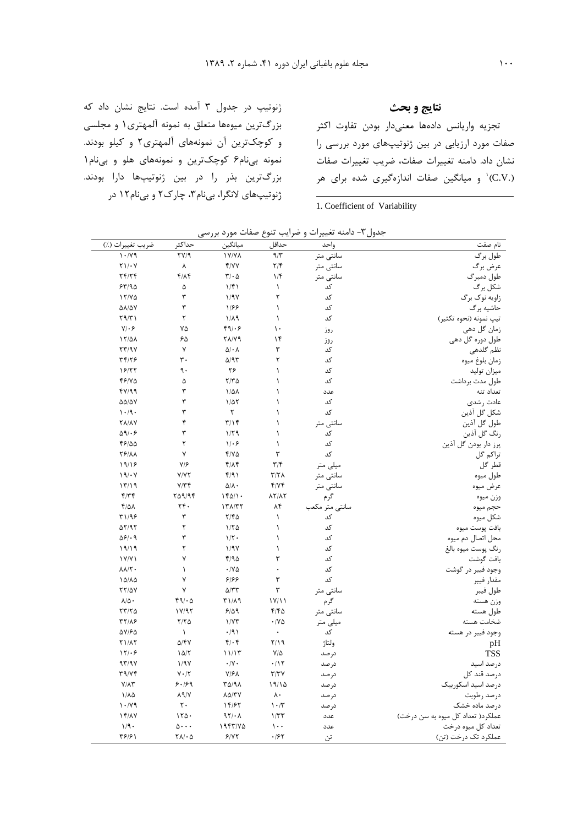ژنوتیپ در جدول ۳ آمده است. نتایج نشان داد که بزرگترین میوهها متعلق به نمونه آلمهتری ۱ و مجلسی و کوچکترین آن نمونههای آلمهتری٢ و کیلو بودند. نمونه بینام۶ کوچکترین و نمونههای هلو و بینام۱ بزرگترین بذر را در بین ژنوتیپها دارا بودند. ژنوتیپهای لانگرا، بیiام۳، چارک۲ و بیiام۱۲ در

# نتايج و بحث

تجزيه واريانس دادهها معنىدار بودن تفاوت اكثر صفات مورد ارزیابی در بین ژنوتیپهای مورد بررسی را نشان داد. دامنه تغییرات صفات، ضریب تغییرات صفات (.C.V)<sup>۱</sup> و میانگین صفات اندازهگیری شده برای هر

1. Coefficient of Variability

| ضريب تغييرات (٪)                       | حداكثر                                          | ميانگين                                      | حداقل                                 | واحد           | نام صفت                           |
|----------------------------------------|-------------------------------------------------|----------------------------------------------|---------------------------------------|----------------|-----------------------------------|
| 1.14                                   | $\overline{Y}V/9$                               | <b>IV/VA</b>                                 | $9/\tilde{r}$                         | سانتى متر      | طول برگ                           |
| $Y \setminus / \cdot V$                | γ                                               | f/YY                                         | $\mathbf{Y}/\mathbf{Y}$               | سانتى متر      | عرض برگ                           |
| Yf/Yf                                  | $f/\Lambda f$                                   | $\mathbf{Y}/\boldsymbol{\cdot}$ $\Delta$     | $1/\mathfrak{f}$                      | سانتى متر      | طول دمبرگ                         |
| 54/90                                  | ۵                                               | 1/f1                                         | $\lambda$                             | کد             | شکل برگ                           |
| 17/40                                  | ٣                                               | 1/9V                                         | ٢                                     | کد             | زاویه نوک برگ                     |
| <b><i>DA/DY</i></b>                    | ٣                                               | 1/88                                         | $\lambda$                             | کد             | حاشیه بر گ                        |
| $Y \mathcal{A}/Y$                      | ٢                                               | $1/\lambda$ 9                                | $\lambda$                             | کد             | تيپ نمونه (نحوه تكثير)            |
| $Y/\cdot 5$                            | ٧۵                                              | 49/69                                        | $\mathcal{L}$                         | روز            | زمان گل دهی                       |
| $17/\Delta\Lambda$                     | ۶۵                                              | <b>٢٨/٧٩</b>                                 | $\lambda$                             | روز            | طول دوره گل دهي                   |
| YY/9Y                                  | γ                                               | $\Delta/\cdot$ $\Lambda$                     | ٣                                     | کد             | نظم گلدھی                         |
| 44/16                                  | $\mathbf{r}$ .                                  | $\Delta$ /9٣                                 | ٢                                     | کد             | زمان بلوغ ميوه                    |
| 18/۲۲                                  | ٩.                                              | ۲۶                                           | $\lambda$                             | کد             | ميزان توليد                       |
| 49/40                                  | ۵                                               | $Y/Y\Delta$                                  | $\lambda$                             | کد             | طول مدت برداشت                    |
| fY/99                                  | ٣                                               | $1/\Delta\Lambda$                            | $\lambda$                             | عدد            | تعداد تنه                         |
| $\Delta\Delta/\Delta\rm{V}$            | ٣                                               | $1/\Delta Y$                                 | $\lambda$                             | کد             | عادت رشدى                         |
| $\cdot$ /9.                            | ٣                                               | ٢                                            | $\lambda$                             | کد             | شكل گل آذين                       |
| <b>YA/AY</b>                           | ۴                                               | $\mathbf{r}/\mathbf{r}$                      | $\mathcal{L}$                         | سانتى متر      | طول گل آذين                       |
| $\Delta$ 9/ $\cdot$ ۶                  | ٣                                               | 1/79                                         | $\lambda$                             | کد             | رنگ گل آذین                       |
| 48100                                  | ٢                                               | $1/\cdot 5$                                  | $\lambda$                             | کد             | پرز دار بودن گل آذین              |
| <b>TP/AA</b>                           | ٧                                               | $Y/V\Delta$                                  | ٣                                     | کد             | تراكم گل                          |
| 19/19                                  | V/F                                             | $f/\Lambda f$                                | $\mathbf{r}/\mathbf{r}$               | میلی متر       | قطر گل                            |
| 19/1                                   | Y/YY                                            | f/91                                         | $\mathbf{r}/\mathbf{r}$               | سانتى متر      | طول ميوه                          |
| 17/19                                  | Y/Y                                             | $\Delta/\Lambda$                             | f/Yf                                  | سانتى متر      | عرض ميوه                          |
| $f/\uparrow \uparrow$                  | 709/94                                          | 1601.                                        | $\lambda \Upsilon / \lambda \Upsilon$ | گرم            | وزن ميوه                          |
| $f/\Delta\Lambda$                      | ٢۴٠                                             | $17\lambda/T$                                | ۸۴                                    | سانتي متر مكعب | حجم ميوه                          |
| 41/99                                  | ٣                                               | $Y/F\Delta$                                  | $\backslash$                          | کد             | شكل ميوه                          |
| $\Delta Y$ /9 $Y$                      | ٢                                               | 1/70                                         | $\lambda$                             | کد             | بافت پوست ميوه                    |
| $\Delta \mathcal{S}/\cdot \mathcal{A}$ | ٣                                               | $1/\Upsilon$ .                               | $\lambda$                             | کد             | محل اتصال دم میوه                 |
| 19/19                                  | ٢                                               | 1/9V                                         | $\lambda$                             | کد             | رنگ پوست ميوه بالغ                |
| 1Y/Y1                                  | ٧                                               | F/90                                         | ٣                                     | کد             | بافت گوشت                         |
| $\lambda \lambda/\Upsilon$             | $\lambda$                                       | $\cdot$ /V $\Delta$                          | $\ddot{\phantom{0}}$                  | کد             | وجود فيبر در گوشت                 |
| 10/10                                  | ٧                                               | ۶۱۶۶                                         | ٣                                     | کد             | مقدار فيبر                        |
| $YY/\Delta V$                          | ٧                                               | $\Delta/\Upsilon\Upsilon$                    | ٣                                     | سانتى متر      | طول فيبر                          |
| $\lambda/\Delta$ .                     | 49/40                                           | ۳۱/۸۹                                        | $1 \vee / 11$                         | گرم            | وزن هسته                          |
| $\tau\tau/\tau\Delta$                  | $1 \text{Y}/97$                                 | 9/09                                         | $f/f_0$                               | سانتى متر      | طول هسته                          |
| 41/17                                  | $Y/Y\Delta$                                     | 1/YY                                         | $\cdot$ / Y $\Delta$                  | میلی متر       | ضخامت هسته                        |
| $\Delta V/F\Delta$                     | $\lambda$                                       | $\cdot$ /9)                                  | $\bullet$                             | کد             | وجود فيبر در هسته                 |
| $Y1/\lambda Y$                         | $\Delta$ /۴۷                                    | $f(\cdot)$                                   | $\mathbf{Y}/\mathbf{19}$              | ولتاژ          | pH                                |
| 171.9                                  | 10/7                                            | 11/17                                        | $\mathsf{V}/\mathsf{Q}$               | درصد           | <b>TSS</b>                        |
| 97/9V                                  | 1/9Y                                            | $\boldsymbol{\cdot}$ /V $\boldsymbol{\cdot}$ | $\cdot/\gamma$                        | در صد          | درصد اسيد                         |
| <b>٣٩/٧۴</b>                           | $Y \cdot / Y$                                   | $Y/\mathcal{F}$                              | $\Upsilon/\Upsilon\Upsilon$           | درصد           | درصد قند کل                       |
| $Y/\Lambda Y$                          | 9.199                                           | ۳۵/۹۸                                        | 19/10                                 | در صد          | درصد اسيد اسكوربيك                |
| $1/\lambda \Delta$                     | $\lambda$ 9/Y                                   | $\Lambda\Delta/\Upsilon$ Y                   | $\lambda$ .                           | درصد           | درصد رطوبت                        |
| 1.14                                   | $\mathsf{r}\cdot$                               | 14/۶۲                                        | $\mathcal{N} \cdot \mathcal{N}$       | درصد           | درصد ماده خشک                     |
| $1f/\lambda V$                         | 150.                                            | 97/4                                         | 1/TT                                  | عدد            | عملكرد( تعداد كل ميوه به سن درخت) |
| 1/9.                                   | $\Delta \cdot \cdot \cdot$                      | 1957/V <sub>0</sub>                          | $\mathcal{L}$ .                       | عدد            | تعداد کل میوه درخت                |
| ۳۶۱۶۱                                  | $\mathbf{Y}\mathbf{A}/\mathbf{\cdot}\mathbf{A}$ | 9/17                                         | .184                                  | تن             | عملکرد تک درخت (تن)               |
|                                        |                                                 |                                              |                                       |                |                                   |

جدول٣- دامنه تغييرات و ضرايب تنوع صفات مورد بررسي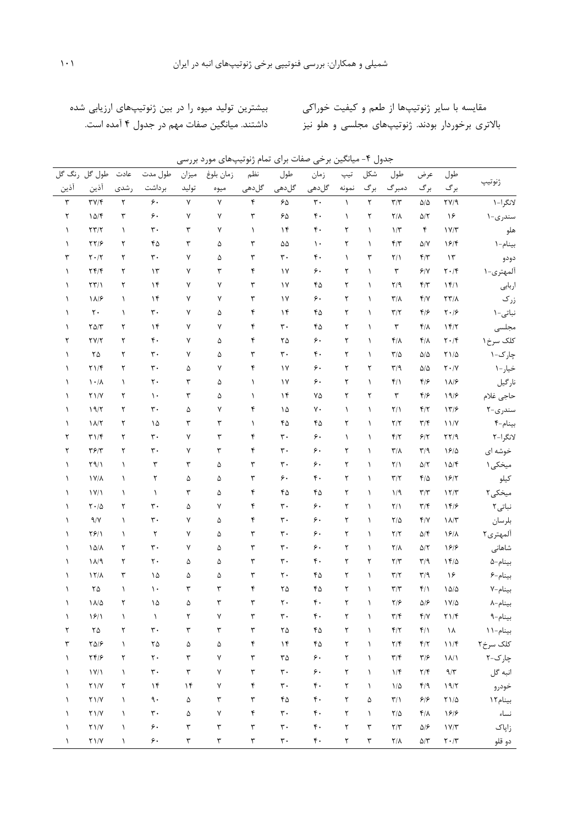مقایسه با سایر ژنوتیپها از طعم و کیفیت خوراکی مصد بیشترین تولید میوه را در بین ژنوتیپهای ارزیابی شده

بالاتری برخوردار بودند. ژنوتیپهای مجلسی و هلو نیز مسمانشتند. میانگین صفات مهم در جدول ۴ آمده است.

|  | جدول ۴- میانگین برخی صفات برای تمام ژنوتیپهای مورد بررسی |  |  |  |
|--|----------------------------------------------------------|--|--|--|
|--|----------------------------------------------------------|--|--|--|

| طول گل رنگ گل        |                                                                                                  | عادت        | طول مدت               | ميزان                | زمان بلوغ            | نظم                  | طول                         | زمان                  | تيپ       | شكل                  | طول                     | عرض                         | طول                                                                                             |           |
|----------------------|--------------------------------------------------------------------------------------------------|-------------|-----------------------|----------------------|----------------------|----------------------|-----------------------------|-----------------------|-----------|----------------------|-------------------------|-----------------------------|-------------------------------------------------------------------------------------------------|-----------|
| آذين                 | آذين                                                                                             | رشدى        | برداشت                | توليد                | ميوه                 | گلدھی                | گلدھی                       | گلدھی                 | نمونه     | برگ                  | دمبرگ                   | برگ                         | برگ                                                                                             | ژنوتيپ    |
| $\mathbf{\breve{r}}$ | $\Upsilon V/\Upsilon$                                                                            | $\mathbf Y$ | $\varphi$ .           | $\mathsf{Y}$         | $\mathsf{Y}$         | ۴                    | $\mathcal{S}\Delta$         | $\mathbf{r}$ .        | $\lambda$ | $\mathbf{\breve{Y}}$ | $\mathbf{Y}/\mathbf{Y}$ | $\Delta/\Delta$             | $\Upsilon V / 9$                                                                                | لانگرا-۱  |
| ٢                    | 10/F                                                                                             | ٣           | ۶.                    | ٧                    | ٧                    | ٣                    | ۶۵                          | ۴٠                    | $\lambda$ | ٢                    | $Y/\Lambda$             | $\Delta/\Upsilon$           | ۱۶                                                                                              | سندرى-١   |
| $\lambda$            | $\Upsilon \Upsilon / \Upsilon$                                                                   | $\lambda$   | $\mathbf{r}$ .        | ٣                    | ٧                    | $\lambda$            | $\gamma$                    | ۴٠                    | ٢         | $\lambda$            | $1/\tau$                | $\mathfrak{f}$              | $\ensuremath{\mathsf{1}\,}\xspace\ensuremath{\mathsf{V}}\xspace/\ensuremath{\mathsf{Y}}\xspace$ | هلو       |
| $\lambda$            | $\frac{1}{2}$                                                                                    | ٢           | ۴۵                    | ٣                    | ۵                    | ٣                    | ۵۵                          | $\mathcal{L}$         | ٢         | $\lambda$            | F/Y                     | $\Delta/\rm{V}$             | 19/5                                                                                            | بينام-١   |
| ٣                    | $\mathbf{Y}\boldsymbol{\cdot}/\mathbf{Y}$                                                        | ٢           | $\mathbf{r}$ .        | ٧                    | ۵                    | ٣                    | ٣٠                          | ۴.                    | $\lambda$ | ٣                    | $Y/\lambda$             | $\mathfrak{f}/\mathfrak{r}$ | $\mathcal{N}$                                                                                   | دودو      |
| $\lambda$            | $\Upsilon \Upsilon / \Upsilon$                                                                   | ٢           | ۱۳                    | ٧                    | ٣                    | ۴                    | $\gamma$                    | ۶.                    | ٢         | $\lambda$            | $\mathbf r$             | $\mathcal{F}/\mathsf{V}$    | $\mathbf{Y}\boldsymbol{\cdot}/\mathbf{Y}$                                                       | ألمهترى-١ |
| $\lambda$            | $\Upsilon \Upsilon / \Upsilon$                                                                   | ٢           | $\lambda$             | ٧                    | ٧                    | ٣                    | $\gamma$                    | ۴۵                    | ٢         | $\lambda$            | Y/9                     | F/Y                         | $\frac{15}{1}$                                                                                  | اربابى    |
| 1                    | $\lambda/2$                                                                                      | $\lambda$   | ۱۴                    | ٧                    | ٧                    | ٣                    | $\gamma$                    | ۶.                    | ٢         | $\lambda$            | $\mathbf{Y}/\mathbf{Y}$ | $f/\gamma$                  | $\Upsilon \Upsilon/\Lambda$                                                                     | زرک       |
| 1                    | $\mathbf{r}$ .                                                                                   | $\lambda$   | $\mathbf{r}$ .        | ٧                    | ۵                    | ۴                    | $\mathcal{N}$               | ۴۵                    | ٢         | $\lambda$            | $\mathbf{Y}/\mathbf{Y}$ | $f/\epsilon$                | $\mathbf{Y}\boldsymbol{\cdot}/\mathbf{9}$                                                       | نباتی-۱   |
| Λ.                   | $\Upsilon \Delta/\Upsilon$                                                                       | ٢           | $\mathcal{N}$         | ٧                    | ٧                    | ۴                    | $\mathbf{r}$ .              | ۴۵                    | ٢         | $\lambda$            | $\mathbf r$             | $f/\lambda$                 | 15/7                                                                                            | مجلسى     |
| ٢                    | $\mathsf{Y} \mathsf{Y} / \mathsf{Y}$                                                             | ٢           | $\mathfrak{r}$ .      | ٧                    | ۵                    | ۴                    | ۲۵                          | ۶.                    | ٢         | $\lambda$            | $\mathfrak{f}/\Lambda$  | $\mathbf{f}/\mathbf{V}$     | $\mathbf{Y}\boldsymbol{\cdot}/\mathbf{Y}$                                                       | كلك سرخ ۱ |
| $\lambda$            | $\mathbf{Y} \Delta$                                                                              | ٢           | $\mathbf{r}$ .        | ٧                    | ۵                    | ٣                    | $\mathbf{r}$ .              | ۴.                    | ٢         | $\lambda$            | $\tau/\Delta$           | $\Delta/\Delta$             | $\uparrow$ 1/4                                                                                  | چار ک-۱   |
| $\lambda$            | $Y \setminus / \mathfrak{f}$                                                                     | ٢           | $\mathbf{r}$ .        | ۵                    | ٧                    | ۴                    | $\gamma$                    | ۶.                    | ٢         | ٢                    | $\mathbf{r}/\mathbf{q}$ | $\Delta/\Delta$             | $\mathbf{Y}\boldsymbol{\cdot}/\mathbf{Y}$                                                       | خيار-١    |
| <sup>1</sup>         | $\lambda \cdot / \lambda$                                                                        | $\lambda$   | ٢٠                    | ٣                    | ۵                    | $\lambda$            | $\gamma$                    | ۶.                    | ٢         | $\lambda$            | $f/\lambda$             | F/5                         | $\lambda/2$                                                                                     | نارگيل    |
| Λ                    | $\Upsilon$ )/V                                                                                   | ٢           | $\mathcal{L}$         | ٣                    | ۵                    | $\lambda$            | $\mathcal{N}$               | ٧۵                    | ٢         | ٢                    | $\mathbf r$             | F/                          | 19/8                                                                                            | حاجى غلام |
|                      | 19/7                                                                                             | ٢           | $\mathbf{r}$ .        | ۵                    | ٧                    | ۴                    | ۱۵                          | γ.                    | $\lambda$ | $\lambda$            | $\mathbf{Y}/\mathbf{1}$ | F/Y                         | 17/8                                                                                            | سندرى-٢   |
| Λ                    | $\lambda/\lambda$                                                                                | ٢           | ۱۵                    | ٣                    | ٣                    | $\lambda$            | ۴۵                          | ۴۵                    | ٢         | $\lambda$            | $\mathbf{Y}/\mathbf{Y}$ | $\mathbf{r}/\mathbf{r}$     | 11/Y                                                                                            | بينام-۴   |
| ٢                    | $\Upsilon \setminus \Upsilon$                                                                    | ٢           | $\mathbf{r}$ .        | ٧                    | ٣                    | ۴                    | $\mathbf{r}$ .              | ۶.                    | $\lambda$ | $\lambda$            | $\mathbf{f}/\mathbf{f}$ | 5/7                         | $\Gamma \Upsilon / 9$                                                                           | لانگرا-۲  |
| ٢                    | $\Upsilon \mathcal{S}/\Upsilon$                                                                  | ٢           | $\mathbf{r}$ .        | ٧                    | ٣                    | ۴                    | $\mathbf{r}$ .              | ۶.                    | ٢         | $\lambda$            | $\mathbf{Y}/\mathbf{Y}$ | $\mathbf{r}/\mathbf{q}$     | 19/2                                                                                            | خوشه ای   |
| $\lambda$            | $Y \mathcal{A}/\mathcal{A}$                                                                      | $\lambda$   | $\mathbf{\breve{v}}$  | ٣                    | ۵                    | ٣                    | ٣٠                          | ۶.                    | ٢         | $\lambda$            | $\Upsilon/\Upsilon$     | $\Delta/\Upsilon$           | 10/F                                                                                            | میخکی ۱   |
| Λ                    | $1V/\lambda$                                                                                     | $\lambda$   | ٢                     | ۵                    | ۵                    | ٣                    | ۶۰                          | $\mathfrak{r}$ .      | ٢         | $\lambda$            | $\mathbf{Y}/\mathbf{Y}$ | $F/\Delta$                  | 15/7                                                                                            | كيلو      |
| Λ                    | $\ensuremath{\mathsf{1}\,}\mathsf{Y}/\ensuremath{\mathsf{1}}$                                    | $\lambda$   | $\lambda$             | ٣                    | ۵                    | ۴                    | ۴۵                          | ۴۵                    | ٢         | $\lambda$            | 1/9                     | $\mathbf{r}/\mathbf{r}$     | $\ensuremath{\mathcal{N}}/\ensuremath{\mathcal{V}}$                                             | میخکی۲    |
| Λ                    | $\mathbf{Y}\boldsymbol{\cdot}/\Delta$                                                            | ٢           | $\mathbf{r}$ .        | ۵                    | ٧                    | ۴                    | $\mathbf{r}$ .              | ۶.                    | ٢         | $\lambda$            | $Y/\lambda$             | $\mathbf{r}/\mathbf{r}$     | 149                                                                                             | نباتی ۲   |
| $\lambda$            | $\gamma/\gamma$                                                                                  | $\lambda$   | $\mathbf{r}$ .        | ٧                    | ۵                    | ۴                    | $\mathbf{r}$ .              | ۶.                    | ٢         | $\lambda$            | $Y/\Delta$              | Y/Y                         | $\Lambda/\Lambda^{\prime}$                                                                      | بلرسان    |
| $\lambda$            | $Y \hat{Y} / Y$                                                                                  | $\lambda$   | ٢                     | ٧                    | ۵                    | ٣                    | $\mathbf{r}$ .              | ۶.                    | ٢         | $\lambda$            | $\mathbf{Y}/\mathbf{Y}$ | $\Delta/\mathfrak{k}$       | 19/1                                                                                            | آلمهترى٢  |
| 1                    | $\Lambda\Delta/\Lambda$                                                                          | ٢           | $\mathbf{r}$ .        | ٧                    | ۵                    | ٣                    | $\mathbf{r}$ .              | ۶.                    | ٢         | $\lambda$            | $Y/\Lambda$             | $\Delta/\Upsilon$           | 199                                                                                             | شاهانى    |
|                      | 11/9                                                                                             | ٢           | ٢٠                    | ۵                    | ۵                    | ٣                    | $\mathbf{r}$ .              | $\mathfrak{r}$ .      | ٢         | ٢                    | Y/Y                     | $\mathbf{r}/\mathbf{q}$     | $1 F/\Delta$                                                                                    | بينام-۵   |
|                      | $17/\lambda$                                                                                     | ٣           | ۱۵                    | ۵                    | ۵                    | ٣                    | $\mathbf{r}$ .              | ۴۵                    | ٢         | $\lambda$            | $\mathbf{Y}/\mathbf{Y}$ | $\mathbf{r}/\mathbf{q}$     | ۱۶                                                                                              | بينام-۶   |
|                      | $\mathbf{Y} \Delta$                                                                              | $\lambda$   | ۱۰                    | ٣                    | ٣                    | ۴                    | ۲۵                          | ۴۵                    | ٢         | $\lambda$            | $\mathbf{Y}/\mathbf{Y}$ | $f/\lambda$                 | $\Lambda\Delta/\Delta$                                                                          | بينام-٧   |
| $\lambda$            | $\Lambda/\Delta$                                                                                 | ٢           | ۱۵                    | ۵                    | ٣                    | ٣                    | $\mathbf{r}$ .              | $\mathfrak{r}$ .      | ٢         | $\lambda$            | $Y/\mathcal{F}$         | $\Delta/\mathcal{F}$        | $1\,\mathrm{V}/\Delta$                                                                          | بينام-٨   |
| $\lambda$            | $\frac{5}{2}$                                                                                    | $\lambda$   | $\lambda$             | ٢                    | γ                    | ٣                    | $\mathbf{r}$ .              | $\mathfrak{r}$ .      | ٢         | $\lambda$            | $\mathbf{Y}/\mathbf{Y}$ | $\mathbf{f}/\mathbf{V}$     | $\uparrow$ \/ $\uparrow$                                                                        | بينام-٩   |
| ٢                    | $\mathbf{Y} \Delta$                                                                              | ٢           | $\mathbf{r}$ .        | ٣                    | $\mathbf{\breve{v}}$ | ٣                    | $\mathbf{Y} \Delta$         | $\mathfrak{r}_\Delta$ | ٢         | $\lambda$            | $\mathbf{f}/\mathbf{f}$ | $f/\lambda$                 | $\lambda$                                                                                       | بينام-١١  |
| ٣                    | $\Upsilon\Delta/\mathcal{F}$                                                                     | $\lambda$   | ۲۵                    | ۵                    | ۵                    | ۴                    | $\mathcal{N}$               | ۴۵                    | ٢         | $\lambda$            | $\mathbf{Y}/\mathbf{F}$ | $\mathbf{f}/\mathbf{f}$     | 11/F                                                                                            | کلک سرخ۲  |
| $\lambda$            | YY/S                                                                                             | ٢           | $\mathbf{r}$ .        | ٣                    | ٧                    | ٣                    | ٣۵                          | ۶.                    | ٢         | $\lambda$            | $\mathbf{Y}/\mathbf{Y}$ | $\mathbf{y}/\mathbf{y}$     | $\lambda/\lambda$                                                                               | چارک-۲    |
| $\lambda$            | $\ensuremath{\mathsf{1}}\xspace \ensuremath{\mathsf{Y}}\xspace / \ensuremath{\mathsf{1}}\xspace$ | $\lambda$   | $\mathbf{r}$ .        | ٣                    | ٧                    | ٣                    | $\mathbf{r}\cdot$           | $\mathord{\varphi}$ . | ٢         | $\lambda$            | $1/\mathfrak{f}$        | $\mathbf{Y}/\mathbf{F}$     | $\mathop{\mathsf{q}}\nolimits/\mathop{\mathsf{r}}\nolimits$                                     | انبه گل   |
| ١                    | $\Upsilon\setminus/\Upsilon$                                                                     | ٢           | $\mathcal{N}$         | $\mathcal{M}$        | ٧                    | ۴                    | $\mathbf{r}$ .              | $\mathfrak{r}$ .      | ٢         | $\lambda$            | $1/\Delta$              | f/9                         | 19/7                                                                                            | خودرو     |
| $\lambda$            | $\Upsilon\setminus/\Upsilon$                                                                     | $\lambda$   | ٩.                    | ۵                    | ٣                    | ٣                    | $\mathfrak{k} \mathfrak{d}$ | $\mathfrak{r}$ .      | ٢         | ۵                    | $\Upsilon/\Upsilon$     | 99                          | $\upgamma\upharpoonright/\Delta$                                                                | بينام ١٢  |
| ١                    | $\Upsilon\setminus/\Upsilon$                                                                     | $\lambda$   | $\mathbf{r}$ .        | ۵                    | ٧                    | $\pmb{\mathsf{f}}$   | $\mathbf{r}\cdot$           | $\mathfrak{r}$ .      | ٢         | $\lambda$            | $\mathbf{Y}/\Delta$     | $f/\lambda$                 | 199                                                                                             | نساء      |
| ١                    | $\Upsilon\setminus/\Upsilon$                                                                     | $\lambda$   | $\varphi$ .           | ٣                    | $\mathbf{\breve{r}}$ | ٣                    | $\mathbf{r}\cdot$           | $\mathfrak{r}$ .      | ٢         | ٣                    | $\mathbf{Y}/\mathbf{Y}$ | $\Delta/\mathcal{F}$        | $1\,\mathrm{V}/\mathrm{T}$                                                                      | زاپاک     |
| $\lambda$            | $\Upsilon\setminus/\Upsilon$                                                                     | $\lambda$   | $\mathord{\varphi}$ . | $\mathbf{\breve{v}}$ | $\mathbf{\tilde{r}}$ | $\mathbf{\breve{v}}$ | $\mathbf{r}\cdot$           | $\mathfrak{r}$ .      | ٢         | $\mathbf{\breve{v}}$ | $\mathsf{Y}/\mathsf{Y}$ | $\Delta/\Upsilon$           | $\mathbf{Y}\boldsymbol{\cdot}/\mathbf{Y}$                                                       | دو قلو    |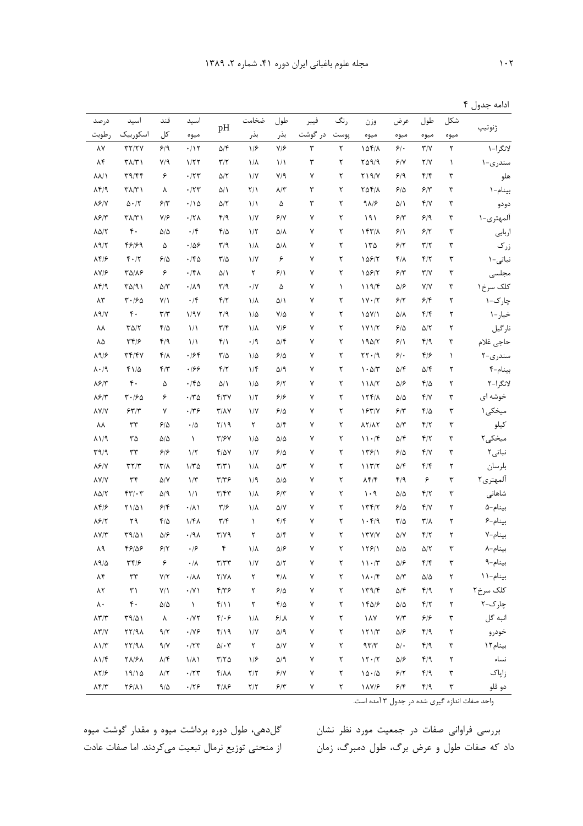|             |  | ادامه جدول ۴ |
|-------------|--|--------------|
| شكل طول عرض |  | ثنوتيب       |

| در صد                            | اسيد                           | قند                     | اسيد                                                |                                            | ضخامت                   | طول                                            | فيبر                 | رنگ         | وزن                                    | عرض                       | طول                         | شكل                  |           |
|----------------------------------|--------------------------------|-------------------------|-----------------------------------------------------|--------------------------------------------|-------------------------|------------------------------------------------|----------------------|-------------|----------------------------------------|---------------------------|-----------------------------|----------------------|-----------|
| رطوبت                            | اسكوربيك                       | کل                      | ميوه                                                | pH                                         | بذر                     | بذر                                            | در گوشت              | پوست        | ميوه                                   | ميوه                      | ميوه                        | ميوه                 | ژنوتيپ    |
| ٨٧                               | $\tau\tau/\tau\gamma$          | 9/9                     | $\cdot/\gamma$                                      | $\Delta/\mathfrak{F}$                      | 1/5                     | $Y/\mathcal{F}$                                | $\mathbf{\breve{v}}$ | ٢           | 10f/A                                  | 5.                        | Y/Y                         | $\mathbf{\breve{Y}}$ | لانگرا-١  |
| ۸۴                               | $\Upsilon \Lambda / \Upsilon$  | $V/\mathcal{A}$         | 1/77                                                | $\Upsilon/\Upsilon$                        | $1/\lambda$             | $\frac{1}{2}$                                  | ٣                    | ٢           | $Y\Delta$ 9/9                          | 9/1                       | Y/Y                         | ١                    | سندرى-١   |
| $\lambda\lambda/\lambda$         | T9/FF                          | ۶                       | $\cdot$ /۲۳                                         | $\Delta/\Upsilon$                          | $\frac{1}{V}$           | $V/\mathcal{A}$                                | ٧                    | ٢           | $Y$ $\frac{9}{Y}$                      | 9/9                       | $f/\mathfrak{f}$            | ٣                    | هلو       |
| $\lambda$ ۴/۹                    | $\Upsilon \Lambda / \Upsilon$  | ٨                       | $\cdot$ /۲۳                                         | $\Delta/\Lambda$                           | $Y/\lambda$             | $\lambda/\Upsilon$                             | ٣                    | ٢           | $Y\Delta Y/\Lambda$                    | ۶۱۵                       | $5/\tau$                    | ٣                    | بينام-١   |
| $\lambda$ ۶/۷                    | $\Delta \cdot / \Upsilon$      | $5/\tau$                | ۰/۱۵                                                | $\Delta/\Upsilon$                          | $\frac{1}{2}$           | ۵                                              | ٣                    | ٢           | 9A/F                                   | $\Delta/\Lambda$          | $f/\gamma$                  | ٣                    | دودو      |
| $\lambda$ ۶/۳                    | ۳۸/۳۱                          | V/F                     | $\cdot$ /۲۸                                         | F/9                                        | $\frac{1}{\sqrt{2}}$    | 9/1                                            | ٧                    | ٢           | ۱۹۱                                    | $8/\tau$                  | 9/9                         | ٣                    | آلمهتری-۱ |
| $\lambda \Delta/\Upsilon$        | $\mathfrak{r}$ .               | $\Delta/\Delta$         | $\cdot$ /۴                                          | $F/\Delta$                                 | 1/5                     | $\Delta/\Lambda$                               | ٧                    | ٢           | $157/\lambda$                          | 9/1                       | 8/7                         | ٣                    | اربابى    |
| $\lambda$ 9/٢                    | 48189                          | ۵                       | $\cdot$ /06                                         | $\mathbf{r}/\mathbf{q}$                    | $1/\lambda$             | ۵۱۸                                            | ٧                    | ٢           | 150                                    | 9/7                       | $\mathbf{r}/\mathbf{r}$     | ٣                    | زرک       |
| $\lambda$ ۴/۶                    | $F \cdot / T$                  | 5/2                     | ۰/۴۵                                                | $\frac{1}{2}$                              | $\frac{1}{\sqrt{2}}$    | ۶                                              | Y                    | ٢           | 15817                                  | $f/\lambda$               | F/Y                         | ٣                    | نباتی-۱   |
| $\lambda V/F$                    | ۳۵/۸۶                          | ۶                       | $\cdot$ /۴۸                                         | $\Delta/\Lambda$                           | ٢                       | 9/1                                            | ٧                    | ٢           | 108/7                                  | $5/\tau$                  | Y/Y                         | ٣                    | مجلسى     |
| $\lambda f$                      | $T\Delta/T$                    | $\Delta/\Upsilon$       | $\cdot/\lambda$ ٩                                   | $\mathbf{r}/\mathbf{q}$                    | $\cdot/\Upsilon$        | ۵                                              | ٧                    | $\lambda$   | 119/F                                  | ۵۱۶                       | Y/Y                         | ٣                    | کلک سرخ ۱ |
| $\lambda\mathsf{Y}$              | $T - 190$                      | $Y/\lambda$             | $\cdot$ /۴                                          | F/Y                                        | $1/\lambda$             | $\Delta/\Lambda$                               | ٧                    | ٢           | $1Y \cdot / 7$                         | 9/7                       | 9/8                         | ٢                    | چار ک-۱   |
| $\lambda$ 9/Y                    | $\mathfrak{r}$ .               | $\mathbf{Y}/\mathbf{Y}$ | 1/97                                                | Y/9                                        | $1/\Delta$              | $V/\Delta$                                     | ٧                    | ٢           | 10Y/1                                  | ۵/۸                       | $f/\mathfrak{f}$            | ٢                    | خيار-١    |
| ٨٨                               | $\Gamma \Delta/\Gamma$         | ۴۱۵                     | 1/1                                                 | $\mathbf{r}/\mathbf{r}$                    | $1/\lambda$             | $V/\mathcal{F}$                                | ٧                    | ٢           | 1Y1/T                                  | 5/2                       | $\Delta/\Upsilon$           | ٢                    | نارگيل    |
| ٨۵                               | $\mathbf{y} \mathbf{y}$        | f/9                     | $\frac{1}{\lambda}$                                 | $f/\lambda$                                | $\cdot$ /9              | $\Delta/\mathfrak{F}$                          | ٧                    | ٢           | 190/7                                  | 9/1                       | f/9                         | ٣                    | حاجى غلام |
| $\Lambda$ 9/۶                    | $\tau \tau / \tau \nu$         | $f/\lambda$             | ۱۶۴                                                 | $\frac{1}{2}$                              | $1/\Delta$              | 5/2                                            | ٧                    | ٢           | $\mathbf{Y} \cdot \mathbf{A}$          | $\mathcal{S}/\mathcal{A}$ | ۴۱۶                         | ١                    | سندرى-٢   |
| $\lambda \cdot 9$                | $f1/\Delta$                    | F/Y                     | .199                                                | F/Y                                        | 1/f                     | $\Delta/\mathsf{q}$                            | ٧                    | ٢           | $\mathcal{N} \cdot \Delta/\mathcal{N}$ | $\Delta/\mathfrak{F}$     | $\Delta/\mathfrak{F}$       | ٢                    | بينام-۴   |
| $\lambda$ ۶/۳                    | $\mathfrak{r}$ .               | ۵                       | ۰/۴۵                                                | $\Delta/\Lambda$                           | $1/\Delta$              | 8/7                                            | ٧                    | ٢           | 11A/T                                  | $\Delta/\mathcal{F}$      | $f/\Delta$                  | ٢                    | لانگرا-۲  |
| $\lambda$ ۶/۳                    | 4.180                          | ۶                       | ۰/۳۵                                                | Y/YY                                       | $1/\tau$                | ۶۱۶                                            | ٧                    | ٢           | 17f/A                                  | ۵۱۵                       | $f/\gamma$                  | ٣                    | خوشه ای   |
| <b>AY/Y</b>                      | 557/5                          | ٧                       | ۰/۳۶                                                | $Y/\lambda Y$                              | $\frac{1}{\sqrt{2}}$    | 9/2                                            | ٧                    | ٢           | 1841                                   | 5/7                       | $f/\Delta$                  | ٣                    | میخکی ۱   |
| ٨٨                               | ٣٣                             | ۶۱۵                     | $\cdot/\Delta$                                      | 7/19                                       | ٢                       | $\Delta/\mathfrak{F}$                          | ٧                    | ٢           | 17/17                                  | ۵/۳                       | $f/\tau$                    | ٣                    | كيلو      |
| $\lambda$ )/9                    | $\mathbf{r}\mathbf{r}$         | ۵۱۵                     | $\lambda$                                           | $Y/\mathcal{F}V$                           | $1/\Delta$              | $\Delta/\Delta$                                | ٧                    | ٢           | 11.7                                   | $\Delta/\mathfrak{F}$     | F/Y                         | ٣                    | میخکی۲    |
| $\Gamma$ 9/9                     | $\tau\tau$                     | 99                      | $1/\tau$                                            | 4/07                                       | $\frac{1}{\sqrt{2}}$    | 9/2                                            | ٧                    | ٢           | 1391                                   | 9/2                       | $f/\gamma$                  | ٣                    | نباتی ۲   |
| $\lambda$ ۶/۷                    | $\Upsilon \Upsilon / \Upsilon$ | $\mathsf{r}/\mathsf{v}$ | ۱۱۳۵                                                | $\Upsilon/\Upsilon$                        | $1/\lambda$             | $\Delta/\Upsilon$                              | ٧                    | ٢           | 117/7                                  | ۵/۴                       | $f/\mathfrak{f}$            | ٢                    | بلرسان    |
| $\lambda V/V$                    | ٣۴                             | $\Delta/\rm{V}$         | $1/\tau$                                            | $\tau/\tau$ ۶                              | 1/9                     | $\Delta/\Delta$                                | ٧                    | ٢           | $\lambda$ ۴/۴                          | f/9                       | ۶                           | ٣                    | آلمهترى٢  |
| $\lambda \Delta/Y$               | $FT/\cdot T$                   | $\Delta$ /9             | $\frac{1}{\sqrt{2}}$                                | $\mathbf{r}/\mathbf{r}$                    | $1/\lambda$             | 9/7                                            | ٧                    | ٢           | $1 \cdot 9$                            | $\Delta/\Delta$           | F/Y                         | ٣                    | شاهانی    |
| $\Lambda$ ۴/۶                    | <b>٢١/۵١</b>                   | 9/8                     | $\cdot/\lambda$                                     | $\mathbf{y}/\mathbf{y}$                    | $1/\lambda$             | $\Delta/\rm{V}$                                | ٧                    | ٢           | 177/7                                  | $8/\Delta$                | Y/Y                         | ٢                    | بينام-۵   |
| $\lambda$ ۶/۲                    | ۲۹                             | ۴۱۵                     | ۱/۴۸                                                | $\mathbf{r}/\mathbf{r}$                    | $\lambda$               | $f/\mathfrak{f}$                               | ٧                    | ٢           | 1.59                                   | $\mathbf{Y}/\Delta$       | $\mathbf{r}/\mathbf{v}$     | ٢                    | بينام-۶   |
| $\Lambda V/Y$                    | $T9/\Delta$                    | $\Delta$ /۶             | ۰/۹۸                                                | $Y/Y$ ۹                                    | ٢                       | $\Delta/\mathfrak{F}$                          | ٧                    | ٢           | Y'Y'Y                                  | $\Delta/\rm{V}$           | $f/\tau$                    | ٢                    | بينام-٧   |
| ۸۹                               | 48188                          | 9/7                     | $\cdot$ /۶                                          | ۴                                          | $1/\lambda$             | $\Delta/\mathcal{F}$                           | ٧                    | ٢           | 159/1                                  | ۵۱۵                       | $\Delta/\Upsilon$           | ٣                    | بينام–٨   |
| $\Lambda$ 9/ $\Delta$            | $\mathbf{y} \mathbf{y}$        | ۶                       | $\cdot/\lambda$                                     | $\tau/\tau\tau$                            | $\frac{1}{\sqrt{2}}$    | $\Delta/\Upsilon$                              | ٧                    | ٢           | $\mathcal{N} \cdot \mathcal{N}$        | $\Delta/\mathcal{F}$      | $\mathfrak{f}/\mathfrak{f}$ | ٣                    | بينام-٩   |
| ۸۴                               | $\tau\tau$                     | Y/Y                     | $\cdot/\lambda\lambda$                              | $Y/Y\Lambda$                               | $\mathbf Y$             | $f/\lambda$                                    | ٧                    | ٢           | $1\lambda \cdot 7$                     | $\Delta/\Upsilon$         | $\Delta/\Delta$             | $\mathbf Y$          | بينام-١١  |
| ۸۲                               | $\uparrow\uparrow$             | $Y/\Upsilon$            | $\cdot$ /V $\backslash$                             | $F/Y$ ۶                                    | $\mathsf Y$             | $\mathcal{S}/\Delta$                           | $\sf V$              | $\mathsf Y$ | 179/F                                  | $\Delta/\mathfrak{k}$     | f/9                         | ٢                    | کلک سرخ۲  |
| $\lambda$ .                      | $\mathfrak{r}$ .               | $\Delta/\Delta$         | $\lambda$                                           | $f/\big)$                                  | $\mathsf Y$             | $f/\Delta$                                     | $\sf V$              | ٢           | 14018                                  | $\Delta/\Delta$           | $f/\tau$                    | ٢                    | چارک-۲    |
| $\Lambda \Upsilon / \Upsilon$    | $T9/\Delta$                    | ٨                       | $\boldsymbol{\cdot}$ /<br>Y $\boldsymbol{\Upsilon}$ | $f \cdot f$                                | $1/\lambda$             | $\mathcal{S}/\mathcal{N}$                      | γ                    | ٢           | $\lambda \lambda$                      | $\mathsf{Y}/\mathsf{Y}$   | 5/5                         | ٣                    | انبه گل   |
| $\lambda \Upsilon / V$           | XY/9A                          | 9/7                     | $\cdot$ /Y $\epsilon$                               | $f/\gamma$                                 | $\frac{1}{\sqrt{2}}$    | $\Delta/\mathop{\mathrm{\mathsf{q}}}\nolimits$ | γ                    | ٢           | 151/T                                  | $\Delta/\mathcal{F}$      | f/9                         | ٢                    | خودرو     |
| $\lambda\,1/\tilde{\tau}$        | XY/9A                          | $\gamma/\gamma$         | $\boldsymbol{\cdot}$ /٢٣                            | $\Delta/\cdot$ $\Upsilon$                  | ٢                       | $\Delta/\rm{V}$                                | γ                    | ٢           | 977                                    | $\Delta/\,\text{-}$       | f/9                         | ٣                    | بينام ١٢  |
| $\lambda$ \/f                    | <b>TA/FA</b>                   | $\lambda/\mathfrak{F}$  | $1/\lambda$                                         | $\mathbf{Y}/\mathbf{Y}\boldsymbol{\Delta}$ | 1/5                     | $\Delta/\mathop{\mathrm{\mathsf{q}}}\nolimits$ | ٧                    | ٢           | $17 \cdot / 7$                         | $\Delta/\mathcal{F}$      | f/9                         | ٢                    | نساء      |
| $\lambda \Upsilon / \mathcal{F}$ | 19/10                          | $\lambda/\Upsilon$      | $\cdot$ /۲۳                                         | $f/\lambda\lambda$                         | $\mathbf{Y}/\mathbf{Y}$ | $\mathcal{S}/\mathsf{V}$                       | $\sf V$              | ٢           | $\backslash\,\Delta\cdot/\Delta$       | $\mathcal{F}/\mathcal{Y}$ | f/9                         | $\mathbf{\breve{v}}$ | زاپاک     |
| $\Lambda$ ۴/۳                    | $Y5/\lambda$                   | $9/\Delta$              | .179                                                | $f/\lambda f$                              | $\mathbf{Y}/\mathbf{Y}$ | $\mathcal{F}/\mathcal{Y}$                      | $\sf V$              | ٢           | $\lambda \lambda \gamma / 5$           | 9/5                       | F/9                         | ٣                    | دو قلو    |

واحد صفات اندازه گیری شده در جدول ۳ آمده است.

گلدهی، طول دوره برداشت میوه و مقدار گوشت میوه از منحنی توزیع نرمال تبعیت میکردند. اما صفات عادت

بررسی فراوانی صفات در جمعیت مورد نظر نشان داد که صفات طول و عرض برگ، طول دمبرگ، زمان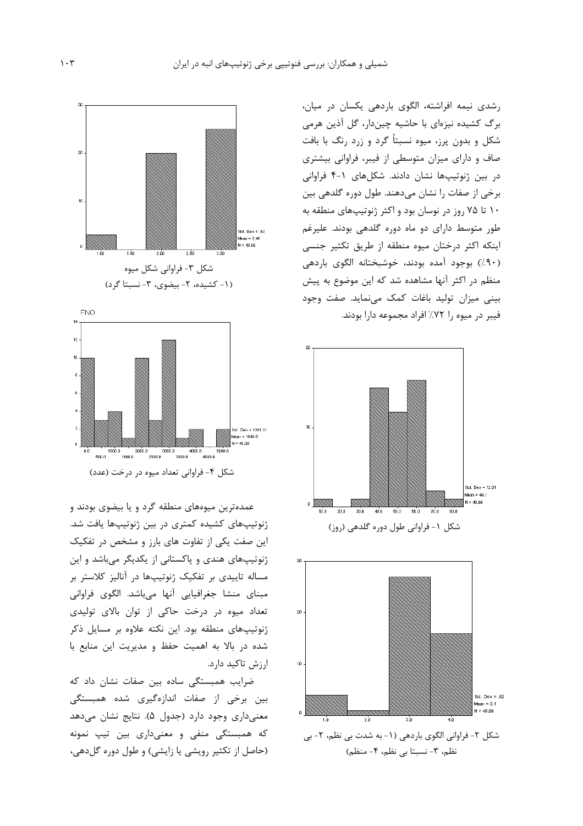



عمدهترین میوههای منطقه گرد و یا بیضوی بودند و ژنوتیپهای کشیده کمتری در بین ژنوتیپها یافت شد. این صفت یکی از تفاوت های بارز و مشخص در تفکیک ژنوتیپهای هندی و پاکستانی از یکدیگر میباشد و این مساله تاییدی بر تفکیک ژنوتیپها در آنالیز کلاستر بر مبنای منشا جغرافیایی آنها میباشد. الگوی فراوانی تعداد میوه در درخت حاکی از توان بالای تولیدی ژنوتیپهای منطقه بود. این نکته علاوه بر مسایل ذکر شده در بالا به اهمیت حفظ و مدیریت این منابع با ارزش تاكيد دارد.

ضرایب همبستگی ساده بین صفات نشان داد که بین برخی از صفات اندازهگیری شده همبستگی معنی داری وجود دارد (جدول ۵). نتایج نشان می دهد که همبستگی منفی و معنیداری بین تیپ نمونه (حاصل از تکثیر رویشی یا زایشی) و طول دوره گلدهی،

رشدی نیمه افراشته، الگوی باردهی یکسان در میان، برگ کشیده نیزهای با حاشیه چیندار، گل آذین هرمی شکل و بدون پرز، میوه نسبتاً گرد و زرد رنگ با بافت صاف و دارای میزان متوسطی از فیبر، فراوانی بیشتری در بین ژنوتیپها نشان دادند. شکلهای ۱-۴ فراوانی برخی از صفات را نشان می دهند. طول دوره گلدهی بین ۱۰ تا ۷۵ روز در نوسان بود و اکثر ژنوتیپهای منطقه به طور متوسط دارای دو ماه دوره گلدهی بودند. علیرغم اینکه اکثر درختان میوه منطقه از طریق تکثیر جنسی (۹۰)) بوجود آمده بودند، خوشبختانه الگوی باردهی منظم در اکثر آنها مشاهده شد که این موضوع به پیش بینی میزان تولید باغات کمک می نماید. صفت وجود فيبر در ميوه را ٧٢٪ افراد مجموعه دارا بودند.



شکل ۱- فراوانی طول دوره گلدهی (روز)

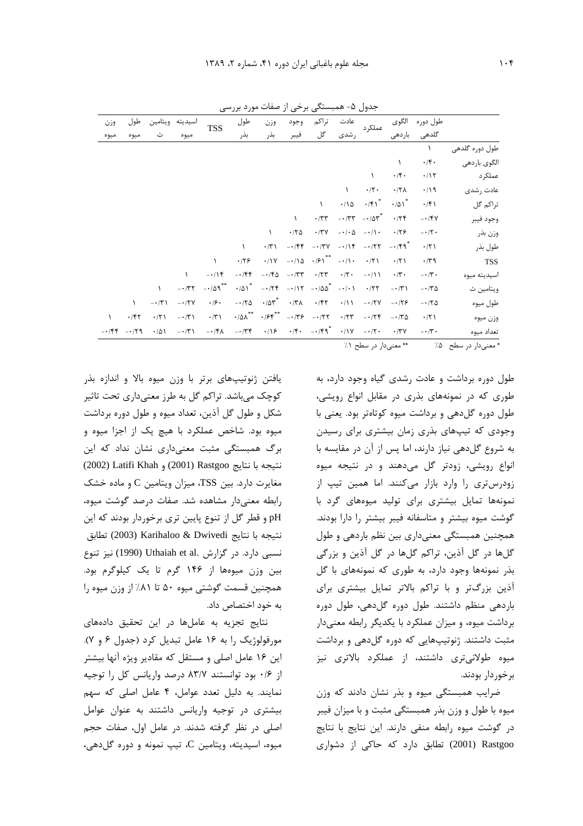|           | جدول ۵– همبستگی برخی از صفات مورد بررسی     |                |                       |              |                                    |                  |              |                                                           |                          |                             |                     |                         |                |
|-----------|---------------------------------------------|----------------|-----------------------|--------------|------------------------------------|------------------|--------------|-----------------------------------------------------------|--------------------------|-----------------------------|---------------------|-------------------------|----------------|
| وزن       | طول                                         | ويتامين        | اسيديته               | <b>TSS</b>   | طول                                | وزن              | وجود         | تراكم                                                     | عادت                     | عملكرد                      | الگوي               | طول دوره                |                |
| ميوه      | ميوه                                        |                | ميوه                  |              | بذر                                | بذر              | فيبر         | گل                                                        | رشدی                     |                             | باردهى              | گلدھی                   |                |
|           |                                             |                |                       |              |                                    |                  |              |                                                           |                          |                             |                     | ١                       | طول دوره گلدهی |
|           |                                             |                |                       |              |                                    |                  |              |                                                           |                          |                             | $\lambda$           | $\cdot$ /۴.             | الگوي باردهي   |
|           |                                             |                |                       |              |                                    |                  |              |                                                           |                          | $\lambda$                   | $\cdot$ /۴.         | $\cdot/\gamma$          | عملکر د        |
|           |                                             |                |                       |              |                                    |                  |              |                                                           | $\lambda$                | $\cdot/\Upsilon$ .          | $.77\lambda$        | $\cdot/\gamma$          | عادت , شدی     |
|           |                                             |                |                       |              |                                    |                  |              |                                                           | $\cdot/\wedge \Delta$    | $\cdot$ /۴۱ <sup>*</sup>    | $\cdot$ /01*        | $\cdot$ /۴۱             | تراكم گل       |
|           |                                             |                |                       |              |                                    |                  |              | $\cdot$ /٣٣                                               |                          | $-177$ $-107$               | .75                 | $-1$ $fV$               | وجود فيبر      |
|           |                                             |                |                       |              |                                    | $\lambda$        | $\cdot$ /۲۵  | $\cdot$ /٣٧                                               | $- \cdot / \cdot \Delta$ | $-\cdot/\cdot$              | .179                | $- \cdot / \cdot$       | وزن بذر        |
|           |                                             |                |                       |              | $\lambda$                          | $\cdot$ /٣١      | $-155$       | $- \cdot / \mathsf{r} \mathsf{v}$                         | $-114$                   | $-177$                      | $-159$              | $\cdot$ /٢١             | طول بذر        |
|           |                                             |                |                       |              | .179                               | .11V             |              | $-i/\lambda \Delta$ $-i\beta \lambda^{**}$ $-i/\lambda$ . |                          | $\cdot$ /٢١                 | $\cdot$ /٢١         | $\cdot$ /٣٩             | <b>TSS</b>     |
|           |                                             |                | $\lambda$             | $-\cdot/15$  | $-\cdot$ /۴۴                       | $-150$           | $- \cdot 75$ | $\cdot$ /۲۳                                               | $\cdot/\tau$ .           | $-\cdot/11$                 | $\cdot/\tau$ .      | $- \cdot / \tilde{r}$ . | اسيديته ميوه   |
|           |                                             |                | $-177$                | $-109$ **    | $\cdot$ /01*                       |                  |              | $-175$ $-115$ $-100$ $-11$                                |                          | .777                        | $-1/\tilde{\Gamma}$ | $-170$                  | ويتامين ث      |
|           | $\lambda$                                   | $-\cdot/\tau$  | $-17V$                | .19.         | $-170$                             | $\cdot$ /۵۳ $^*$ | $\cdot$ /٣٨  | $\cdot$ /۴۲                                               | $\cdot/\lambda$          | $-17V$                      | $-179$              | $-170$                  | طول میوه       |
| $\lambda$ | .787                                        | $\cdot$ /٢١    | $- \cdot / \tilde{r}$ | $\cdot$ /٣١  | $\cdot$ /0 $\! \! \! \lambda^{**}$ |                  |              | $-177$                                                    | $\cdot$ /٢٣              | $-174$                      | $-150$              | $\cdot$ /٢١             | وزن ميوه       |
|           | $-154$ -159                                 | $\cdot/\Delta$ | $-15$                 | $-\cdot$ /۴۸ | $-174$                             |                  |              | $\cdot$ /18 $\cdot$ /F $\cdot$ -/Fq <sup>*</sup>          |                          | $\cdot$ /\Y - $\cdot$ /\Y - | $\cdot$ /۳۷         | $- \cdot / \tilde{r}$ . | تعداد میوه     |
|           | ** معنىدار در سطح ١٪<br>* معنىدار در سطح۔۵٪ |                |                       |              |                                    |                  |              |                                                           |                          |                             |                     |                         |                |

طول دوره برداشت و عادت رشدی گیاه وجود دارد، به طوری که در نمونههای بذری در مقابل انواع رویشی، طول دوره گل دهی و برداشت میوه کوتاهتر بود. یعنی با وجودی که تیپهای بذری زمان بیشتری برای رسیدن به شروع گل دهی نیاز دارند، اما پس از آن در مقایسه با انواع رویشی، زودتر گل میدهند و در نتیجه میوه زودرس تری را وارد بازار میکنند. اما همین تیپ از نمونهها تمایل بیشتری برای تولید میوههای گرد با گوشت میوه بیشتر و متاسفانه فیبر بیشتر را دارا بودند. همچنین همبستگی معنیداری بین نظم باردهی و طول گلها در گل آذین، تراکم گلها در گل آذین و بزرگی بذر نمونهها وجود دارد، به طوری که نمونههای با گل آذین بزرگتر و با تراکم بالاتر تمایل بیشتری برای باردهی منظم داشتند. طول دوره گلدهی، طول دوره برداشت میوه، و میزان عملکرد با یکدیگر رابطه معنیدار مثبت داشتند. ژنوتیپهایی که دوره گل دهی و برداشت میوه طولانیتری داشتند، از عملکرد بالاتری نیز برخوردار بودند.

ضرایب همبستگی میوه و بذر نشان دادند که وزن میوه با طول و وزن بذر همبستگی مثبت و با میزان فیبر در گوشت میوه رابطه منفی دارند. این نتایج با نتایج 2001) Rastgoo) تطابق دارد که حاکی از دشواری

یافتن ژنوتیپهای برتر با وزن میوه بالا و اندازه بذر کوچک میباشد. تراکم گل به طرز معنیداری تحت تاثیر شکل و طول گل آذین، تعداد میوه و طول دوره برداشت میوه بود. شاخص عملکرد با هیچ یک از اجزا میوه و برگ همبستگی مثبت معنیداری نشان نداد که این نتيجه با نتايج (2001) Rastgoo و Latifi Khah (2001) مغایرت دارد. بین TSS، میزان ویتامین C و ماده خشک رابطه معنى دار مشاهده شد. صفات درصد گوشت ميوه، pH و قطر گل از تنوع پایین تری برخوردار بودند که این نتيجه با نتايج Karihaloo & Dwivedi (2003) تطابق نسبی دارد. در گزارش .Uthaiah et al (1990) نیز تنوع بین وزن میوهها از ۱۴۶ گرم تا یک کیلوگرم بود. همچنین قسمت گوشتی میوه ۵۰ تا ۸۱/ از وزن میوه را به خود اختصاص داد.

نتایج تجزیه به عاملها در این تحقیق دادههای مورفولوژیک را به ۱۶ عامل تبدیل کرد (جدول ۶ و ۷). این ۱۶ عامل اصلی و مستقل که مقادیر ویژه آنها بیشتر از ۰/۶ بود توانستند ۸۳/۷ درصد واریانس کل را توجیه نمایند. به دلیل تعدد عوامل، ۴ عامل اصلی که سهم بیشتری در توجیه واریانس داشتند به عنوان عوامل اصلی در نظر گرفته شدند. در عامل اول، صفات حجم ميوه، اسيديته، ويتامين C، تيب نمونه و دوره گلدهي،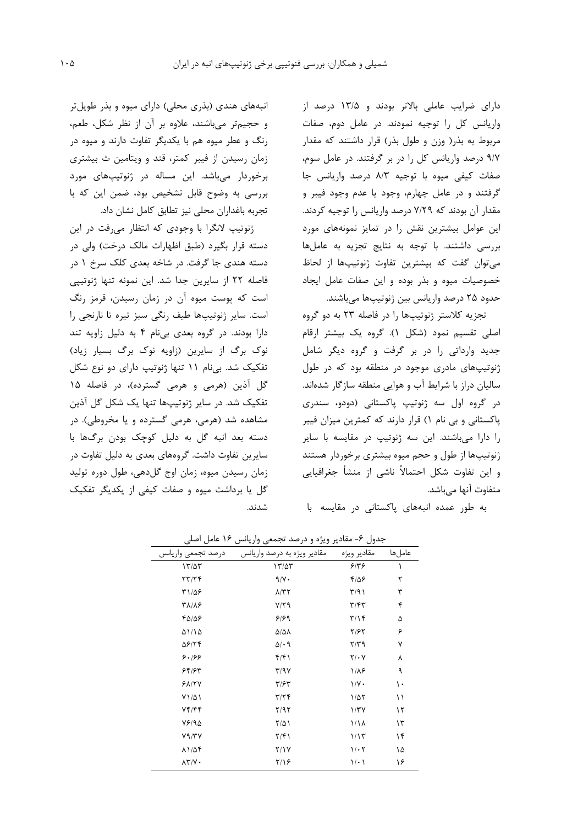دارای ضرایب عاملی بالاتر بودند و ۱۳/۵ درصد از واریانس کل را توجیه نمودند. در عامل دوم، صفات مربوط به بذر( وزن و طول بذر) قرار داشتند که مقدار ۹/۷ درصد واریانس کل را در بر گرفتند. در عامل سوم، صفات کیفی میوه با توجیه ۸/۳ درصد واریانس جا گرفتند و در عامل چهارم، وجود یا عدم وجود فیبر و مقدار آن بودند که ۷/۲۹ درصد واریانس را توجیه کردند. این عوامل بیشترین نقش را در تمایز نمونههای مورد بررسی داشتند. با توجه به نتایج تجزیه به عاملها مے توان گفت که بیشترین تفاوت ژنوتیپها از لحاظ خصوصیات میوه و بذر بوده و این صفات عامل ایجاد حدود ۲۵ درصد واریانس بین ژنوتیپها می،باشند.

تجزیه کلاستر ژنوتیپها را در فاصله ۲۳ به دو گروه اصلی تقسیم نمود (شکل ۱). گروه یک بیشتر ارقام جدید وارداتی را در بر گرفت و گروه دیگر شامل ژنوتیپهای مادری موجود در منطقه بود که در طول سالیان دراز با شرایط آب و هوایی منطقه سازگار شدهاند. در گروه اول سه ژنوتیپ پاکستانی (دودو، سندری پاکستانی و بی نام ۱) قرار دارند که کمترین میزان فیبر را دارا می باشند. این سه ژنوتیپ در مقایسه با سایر ژنوتیپها از طول و حجم میوه بیشتری برخوردار هستند و این تفاوت شکل احتمالاً ناشی از منشأ جغرافیایی متفاوت آنها می باشد.

به طور عمده انبههای پاکستانی در مقایسه با

انبههای هندی (بذری محلی) دارای میوه و بذر طویل تر و حجیم تر می باشند، علاوه بر آن از نظر شکل، طعم، رنگ و عطر میوه هم با یکدیگر تفاوت دارند و میوه در زمان رسیدن از فیبر کمتر، قند و ویتامین ث بیشتری برخوردار میباشد. این مساله در ژنوتیپهای مورد بررسی به وضوح قابل تشخیص بود، ضمن این که با تجربه باغداران محلي نيز تطابق كامل نشان داد.

ژنوتیپ لانگرا با وجودی که انتظار میرفت در این دسته قرار بگیرد (طبق اظهارات مالک درخت) ولی در دسته هندي جا گرفت. در شاخه بعدي کلک سرخ ۱ در فاصله ٢٢ از سايرين جدا شد. اين نمونه تنها ژنوتيپي است که پوست میوه آن در زمان رسیدن، قرمز رنگ است. سایر ژنوتیپها طیف رنگی سبز تیره تا نارنجی را دارا بودند. در گروه بعدی بی نام ۴ به دلیل زاویه تند نوک برگ از سایرین (زاویه نوک برگ بسیار زیاد) تفکیک شد. بی نام ۱۱ تنها ژنوتیپ دارای دو نوع شکل گل آذین (هرمی و هرمی گسترده)، در فاصله ۱۵ تفکیک شد. در سایر ژنوتیپها تنها یک شکل گل آذین مشاهده شد (هرمی، هرمی گسترده و یا مخروطی). در دسته بعد انبه گل به دلیل کوچک بودن برگها با سایرین تفاوت داشت. گروههای بعدی به دلیل تفاوت در زمان رسیدن میوه، زمان اوج گلدهی، طول دوره تولید گل یا برداشت میوه و صفات کیفی از یکدیگر تفکیک شدند.

| س سي               | س<br>بیر ریز- ر -رحب- -بحصی رازی- | بصوب                    |        |
|--------------------|-----------------------------------|-------------------------|--------|
| درصد تجمعي واريانس | مقادیر ویژه به درصد واریانس       | مقادير ويژه             | عاملها |
| 17/27              | 17/27                             | ۶۱۳۶                    | ١      |
| 77/74              | $9/\gamma$ .                      | $F/\Delta P$            | ٢      |
| ۳۱/۵۶              | $\lambda$ /٣٢                     | $\Gamma/9$              | ٣      |
| <b>٣٨/٨۶</b>       | $Y/Y$ ۹                           | $\mathbf{r}/\mathbf{r}$ | ۴      |
| 40/06              | 9/99                              | $\mathbf{r}/\mathbf{r}$ | ۵      |
| 01/10              | $\Delta/\Delta\lambda$            | ۲/۶۲                    | ۶      |
| 58174              | $\Delta$ / $\cdot$ 9              | ۳/۳۹                    | ٧      |
| ۶۰۱۶۶              | ۴/۴۱                              | $Y/\cdot Y$             | ٨      |
| 88/88              | Y/9Y                              | 1/18                    | ٩      |
| $Y/\gamma Y$       | $\tau$ /۶ $\tau$                  | $1/\gamma$ .            | ١٠     |
| $Y1/\Delta1$       | $\mathbf{y}/\mathbf{z}$           | $1/\Delta Y$            | ۱۱     |
| Yf/ff              | Y/9Y                              | $1/\tau$                | ۱۲     |
| 18/90              | $Y/\Delta$                        | 1/1 <sub>A</sub>        | ۱۳     |
| Y9/YY              | $\frac{1}{2}$                     | 1/15                    | ۱۴     |
| 11/54              | Y/Y                               | $1/\cdot 7$             | ۱۵     |
| $\Lambda V/V$ .    | ۱۱۴                               | $\sqrt{2}$              | ۱۶     |

حدول ۶- مقادر ، ونثوره درصد تحمعه واربانس ۱۶ عامل اصله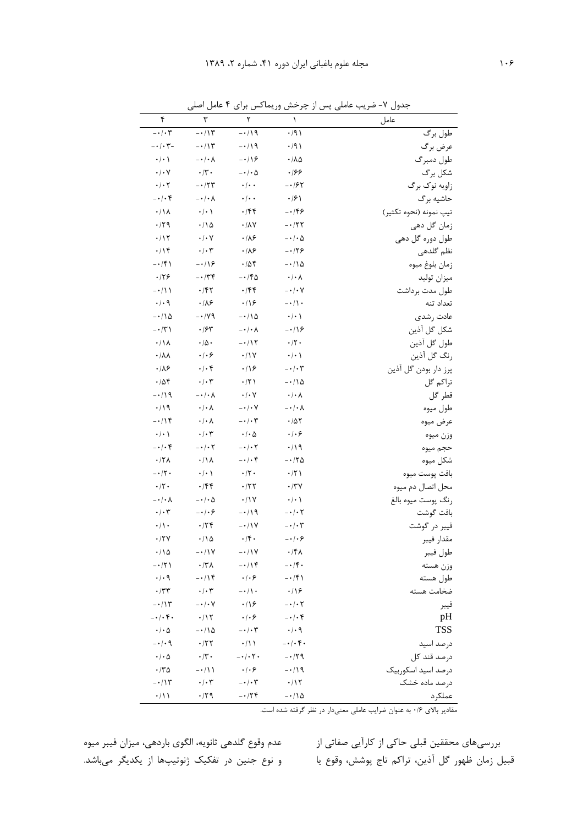| ۴                                | ٣                                | ٢                           | ١                           | عامل                   |
|----------------------------------|----------------------------------|-----------------------------|-----------------------------|------------------------|
| $- \cdot / \cdot \tau$           | $- \cdot / \gamma$               | $-119$                      | $\cdot$ /9)                 | طول برگ                |
| $-\cdot/\cdot$ $\mathsf{y}-$     | $-115$                           | $-119$                      | $\cdot$ /9)                 | عرض برگ                |
| $\cdot/\cdot$ \                  | $-\cdot/\cdot \wedge$            | $-\cdot/9$                  | $\cdot/\lambda\Delta$       | طول دمبرگ              |
| $\cdot/\cdot$ Y                  | $\cdot$ /۳.                      | $-\cdot$ / $\cdot$ $\Delta$ | .199                        | شكل برگ                |
| $\cdot$ / $\cdot$ $\cdot$        | $-177$                           | $\cdot$ / $\cdot$ $\cdot$   | $- \cdot 194$               | زاويه نوک برگ          |
| $- \cdot / \cdot f$              | $-\cdot/\cdot \wedge$            | $\cdot$ / $\cdot$ $\cdot$   | $\cdot$ /۶ \                | حاشيه برگ              |
| $\cdot/\Lambda$                  | $\cdot/\cdot$ \                  | $\cdot$ /۴۴                 | $-159$                      | تيپ نمونه (نحوه تكثير) |
| $\cdot$ /۲۹                      | $\cdot/\Delta$                   | $\cdot/\lambda\vee$         | $-177$                      | زمان گل دھی            |
| $\cdot/11$                       | $\cdot/\cdot$ Y                  | $\cdot/\lambda$ ۶           | $-\cdot$ / $\cdot$ $\Delta$ | طول دوره گل دهی        |
| $\cdot/\prime$                   | $\cdot/\cdot$ ۳                  | $\cdot$ /18                 | $-179$                      | نظم گلدھی              |
| $- \cdot / \mathfrak{F}$         | $-18$                            | .708                        | $-\cdot/\lambda$            | زمان بلوغ ميوه         |
| ۰۱۲۶                             | $- \cdot 74$                     | $-140$                      | $\cdot/\cdot \wedge$        | ميزان توليد            |
| $-\cdot/11$                      | ۰/۴۲                             | $\cdot$ /۴۴                 | $- \cdot / \cdot V$         | طول مدت برداشت         |
| $\cdot$ / $\cdot$ 9              | $\cdot$ /18                      | $\cdot$ /16                 | $-\cdot/ \cdot$             | تعداد تنه              |
| $-\cdot/\Lambda$                 | $-1/\sqrt{9}$                    | $-110$                      | $\cdot/\cdot$ \             | عادت رشدى              |
| $- \cdot / \tilde{r}$            | $\cdot$ /۶۳                      | $-\cdot/\cdot \wedge$       | $-\cdot/9$                  | شكل گل آذين            |
| $\cdot/\Lambda$                  | $\cdot$ /<br>$\! \Delta$ $\cdot$ | $-117$                      | $\cdot/\Upsilon$            | طول گل آذين            |
| $\cdot/\lambda\lambda$           | $\cdot$ / $\cdot$ 6              | $\cdot/1$ Y                 | $\cdot$ / $\cdot$ /         | رنگ گل آذين            |
| $\cdot$ /18                      | $\cdot/\cdot$ ۴                  | $\cdot$ /16                 | $- \cdot / \cdot \tau$      | پرز دار بودن گل آذین   |
| .788                             | $\cdot/\cdot7$                   | $\cdot$ /٢١                 | $-\cdot/10$                 | تراكم گل               |
| $-119$                           | $-\cdot/\cdot \wedge$            | $\cdot/\cdot$ Y             | $\cdot/\cdot \wedge$        | قطر گل                 |
| $\cdot$ /19                      | $\cdot/\cdot \wedge$             | $- \cdot / \cdot V$         | $-\cdot/\cdot \wedge$       | طول ميوه               |
| $-114$                           | $\cdot/\cdot \wedge$             | $-\cdot/\cdot$ $\mathsf{y}$ | $\cdot/\Delta\Upsilon$      | عرض ميوه               |
| $\cdot/\cdot$ \                  | $\cdot/\cdot$ ۳                  | $\cdot$ / $\cdot$ $\Delta$  | $\cdot$ / $\cdot$ ۶         | وزن ميوه               |
| $-\cdot/\cdot$ ۴                 | $- \cdot / \cdot \tau$           | $-\cdot$ / $\cdot$ $\tau$   | $\cdot/19$                  | حجم ميوه               |
| $\cdot$ /٢٨                      | $\cdot/\Lambda$                  | $- \cdot / \cdot f$         | $-170$                      | شكل ميوه               |
| $- \cdot / \nabla \cdot$         | $\cdot$ / $\cdot$ /              | $\cdot/\Upsilon$            | $\cdot$ /٢١                 | بافت پوست ميوه         |
| $\cdot/\Upsilon$                 | ۰/۴۴                             | $\cdot$ /٢٢                 | $\cdot$ /٣٧                 | محل اتصال دم میوه      |
| $-\cdot/\cdot \lambda$           | $-\cdot/\cdot \Delta$            | .11Y                        | $\cdot/\cdot$ \             | رنگ پوست ميوه بالغ     |
| $\cdot/\cdot$ ۳                  | $-\cdot$ / $\cdot$ &             | -۰/۱۹                       | $- \cdot / \cdot \tau$      | بافت گوشت              |
| $\cdot/\rangle \cdot$            | $\cdot$                          | $-$ / $\gamma$              | $-\cdot/\cdot \tau$         | فيبر در گوشت           |
| $\cdot$ /٢٧                      | $\cdot/\wedge \Delta$            | $\cdot$ /۴.                 | $-\cdot/\cdot$ ۶            | مقدار فيبر             |
| $\cdot/\Delta$                   | $-\cdot/1$                       | $- \cdot / \sqrt{2}$        | ۰/۴۸                        | طول فيبر               |
| $-171$                           | $\cdot$ /۳۸                      | $-114$                      | $-\cdot$ /۴.                | وزن هسته               |
| $\cdot/\cdot$ ٩                  | $-115$                           | $\cdot$ / $\cdot$ 6         | $-15$                       | طول هسته               |
| $\cdot$ /٣٣                      | $\cdot$ / $\cdot$ ۳              | $-\cdot/$ \ $\cdot$         | $\cdot$ /16                 | ضخامت هسته             |
| $-\cdot/\gamma$                  | $-\cdot/\cdot$ Y                 | $\cdot$ /16                 | $- \cdot / \cdot 7$         | فيبر                   |
| $- \cdot / \cdot \mathfrak{r}$ . | $\cdot/17$                       | $\cdot$ / $\cdot$ 6         | $-\cdot/\cdot f$            | pH                     |
| $\cdot$ / $\cdot$ $\Delta$       | $-\cdot/\lambda$                 | $-\cdot/\cdot \tau$         | $\cdot$ / $\cdot$ 9         | <b>TSS</b>             |
| $- \cdot / \cdot$ 9              | $\cdot$                          | $\cdot/11$                  | $-\cdot/\cdot$ ۴.           | درصد اسید              |
| $\cdot$ / $\cdot$ $\Delta$       | $\cdot$ /۳.                      | $-\cdot/\cdot \tau$ .       | $-179$                      | درصد قند كل            |
| $\cdot$ /۳۵                      | $-\cdot/11$                      | $\cdot$ / $\cdot$ 6         | $-119$                      | درصد اسيد اسكوربيك     |
| $- \cdot / \gamma$               | $\cdot/\cdot$ ۳                  | $-\cdot/\cdot$ $\mathsf{y}$ | $\cdot$ /1٢                 | درصد ماده خشک          |
| $\cdot/$ \ \                     | $\cdot$ /۲۹                      | $-174$                      | $-\cdot/\lambda$            | عملكرد                 |

جدول ۷- ضریب عاملی پس از چرخش وریماکس برای ۴ عامل اصلی

مقادیر بالای ۰/۶ به عنوان ضرایب عاملی معنیدار در نظر گرفته شده است.

بررسیهای محققین قبلی حاکی از کارآیی صفاتی از مصمت وقوع گلدهی ثانویه، الگوی باردهی، میزان فیبر میوه قبیل زمان ظهور گل آذین، تراکم تاج پوشش، وقوع یا و نوع جنین در تفکیک ژنوتیپها از یکدیگر میباشد.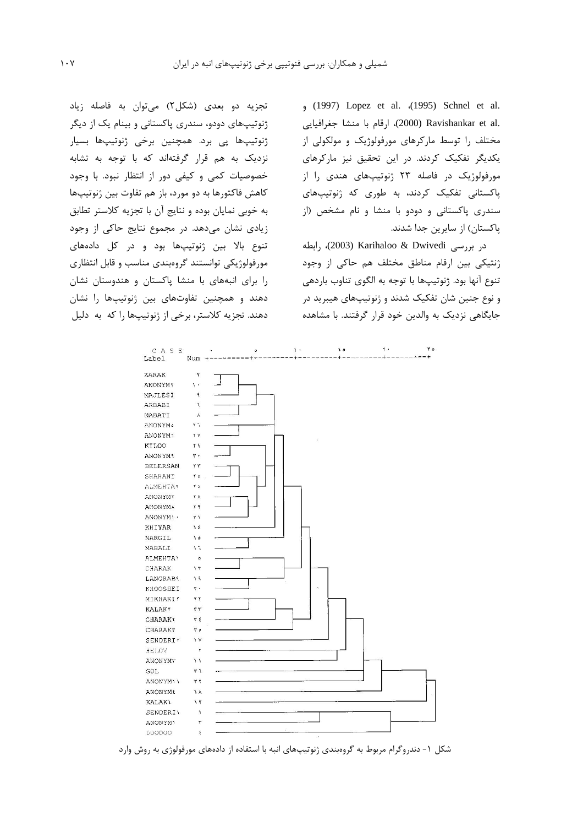, (1997) Lopez et al. (1995) Schnel et al. .2000) Ravishankar et al ارقام با منشا جغرافيايي) مختلف را توسط مارکرهای مورفولوژیک و مولکولی از یکدیگر تفکیک کردند. در این تحقیق نیز مارکرهای مورفولوژیک در فاصله ۲۳ ژنوتیپهای هندی را از یاکستانی تفکیک کردند، به طوری که ژنوتیپهای سندری پاکستانی و دودو با منشا و نام مشخص (از ياكستان) از سايرين جدا شدند.

در بررسی Karihaloo & Dwivedi (2003)، رابطه ژنتیکی بین ارقام مناطق مختلف هم حاکی از وجود تنوع آنها بود. ژنوتیپها با توجه به الگوی تناوب باردهی و نوع جنين شان تفكيک شدند و ژنوتيپهای هيبريد در جایگاهی نزدیک به والدین خود قرار گرفتند. با مشاهده

تجزیه دو بعدی (شکل۲) میتوان به فاصله زیاد ژنوتیپهای دودو، سندری پاکستانی و بینام یک از دیگر ژنوتیپھا یی برد. همچنین برخی ژنوتیپھا بسیار نزدیک به هم قرار گرفتهاند که با توجه به تشابه خصوصیات کمی و کیفی دور از انتظار نبود. با وجود كاهش فاكتورها به دو مورد، باز هم تفاوت بين ژنوتيپها به خوبی نمایان بوده و نتایج آن با تجزیه کلاستر تطابق زیادی نشان میدهد. در مجموع نتایج حاکی از وجود تنوع بالا بین ژنوتیپها بود و در کل دادههای مورفولوژیکی توانستند گروهبندی مناسب و قابل انتظاری را برای انبههای با منشا پاکستان و هندوستان نشان دهند و همچنین تفاوتهای بین ژنوتیپها را نشان دهند. تجزیه کلاستر، برخی از ژنوتیپها را که به دلیل



شکل ۱- دندروگرام مربوط به گروهبندی ژنوتیپهای انبه با استفاده از دادههای مورفولوژی به روش وارد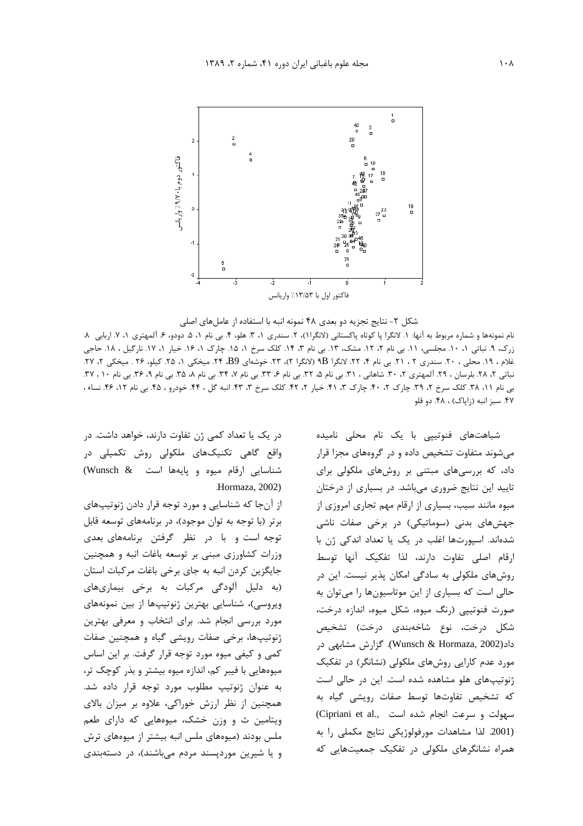

#### شکل ۲- نتایج تجزیه دو بعدی ۴۸ نمونه انبه با استفاده از عاملهای اصلی

نام نمونهها و شماره مربوط به آنها: ١. لانگرا پا كوتاه پاكستاني (لانگرا١)، ٢. سندري ١، ٣. هلو، ۴. بي نام ١، ۵. دودو، ۶. آلمهتري ١، ٧. اربابي ٨. زرک، ۹. نباتی ۱، ۱۰. مجلسی، ۱۱. بی نام ۲، ۱۲. مشک، ۱۳. بی نام ۳، ۱۴. کلک سرخ ۱، ۱۵. چارک ۱، ۱۶. خیار ۱، ۱۷. نارگیل ، ۱۸. حاجی غلام ، ١٩. محلي ، ٢٠. سندري ٢ ، ٢١. بي نام ۴، ٢٢. لانگرا BP (لانگرا ٢)، ٢٣. خوشهاي B9، ٢۴. ميخكي ٢، ٢٧. ويخكي ٢، ٢٧. نباتی ۲، ۲۸. بلرسان ، ۲۹. آلمهتری ۲، ۳۰. شاهانی ، ۳۱. بی نام ۵، ۳۲. بی نام ۶، ۳۳. بی نام ۸، ۳۵. بی نام ۹، ۳۶. بی نام ۱۰ ، ۳۷. بی نام ۱۱، ۳۸. کلک سرخ ۲، ۳۹. چارک ۲، ۴۰. چارک ۲، ۴۱. خیار ۲، ۴۲. کلک سرخ ۳، ۴۳. انبه گل ، ۴۴. خودرو ، ۴۵. بی نام ۱۲، ۴۶. نساء ، ۴۷. سبز انبه (زایاک) ، ۴۸. دو قلو

> شباهتهای فنوتیپی با یک نام محلی نامیده می شوند متفاوت تشخیص داده و در گروههای مجزا قرار داد، که بررسیهای مبتنی بر روشهای ملکولی برای تایید این نتایج ضروری میباشد. در بسیاری از درختان میوه مانند سیب، بسیاری از ارقام مهم تجاری امروزی از جهشهای بدنی (سوماتیکی) در برخی صفات ناشی شدهاند. اسپورتها اغلب در یک یا تعداد اندکی ژن با ارقام اصلی تفاوت دارند، لذا تفکیک آنها توسط روشهای ملکولی به سادگی امکان پذیر نیست. این در حالی است که بسیاری از این موتاسیونها را میتوان به صورت فنوتیپی (رنگ میوه، شکل میوه، اندازه درخت، شکل درخت، نوع شاخهبندی درخت) تشخیص داد(Wunsch & Hormaza, 2002). گزارش مشابهی در مورد عدم کارایی روشهای ملکولی (نشانگر) در تفکیک ژنوتیپهای هلو مشاهده شده است. این در حالی است كه تشخيص تفاوتها توسط صفات رويشى گياه به (Cipriani et al., سهولت و سرعت انجام شده است) (2001. لذا مشاهدات مورفولوژیکی نتایج مکملی را به همراه نشانگرهای ملکولی در تفکیک جمعیتهایی که

در یک یا تعداد کمی ژن تفاوت دارند، خواهد داشت. در واقع گاهی تکنیکهای ملکولی روش تکمیلی در شناسایی ارقام میوه و پایهها است (Wunsch & Hormaza, 2002).

از آنجا که شناسایی و مورد توجه قرار دادن ژنوتیپهای برتر (با توجه به توان موجود)، در برنامههای توسعه قابل توجه است و با در نظر گرفتن برنامههای بعدی وزرات کشاورزی مبنی بر توسعه باغات انبه و همچنین جایگزین کردن انبه به جای برخی باغات مرکبات استان (به دلیل آلودگی مرکبات به برخی بیماریهای ویروسی)، شناسایی بهترین ژنوتیپها از بین نمونههای مورد بررسی انجام شد. برای انتخاب و معرفی بهترین ژنوتیپها، برخی صفات رویشی گیاه و همچنین صفات کمی و کیفی میوه مورد توجه قرار گرفت. بر این اساس میوههایی با فیبر کم، اندازه میوه بیشتر و بذر کوچک تر، به عنوان ژنوتیپ مطلوب مورد توجه قرار داده شد. همچنین از نظر ارزش خوراکی، علاوه بر میزان بالای ویتامین ث و وزن خشک، میوههایی که دارای طعم ملس بودند (میوههای ملس انبه بیشتر از میوههای ترش و یا شیرین موردپسند مردم میباشند)، در دستهبندی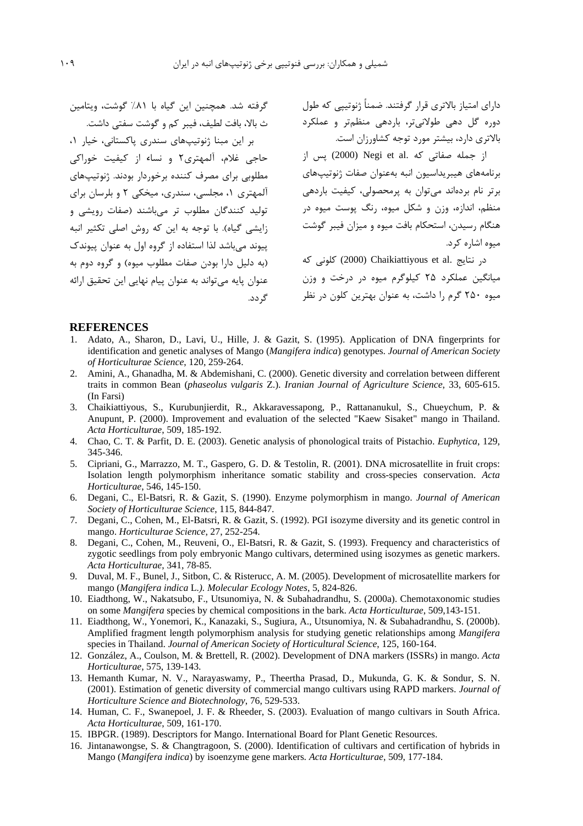گرفته شد. همچنین این گیاه با ۸۱٪ گوشت، ویتامین ث بالا، بافت لطيف، فيبر كم و گوشت سفتى داشت.

بر این مبنا ژنوتیپهای سندری پاکستانی، خیار ۱، حاجی غلام، آلمهتری۲ و نساء از کیفیت خوراکی مطلوبی برای مصرف کننده برخوردار بودند. ژنوتیپهای آلمهتری ۱، مجلسی، سندری، میخکی ۲ و بلرسان برای ۔<br>تولید کنندگان مطلوب تر می،باشند (صفات رویشی و زایشی گیاه). با توجه به این که روش اصلی تکثیر انیه ییوند می باشد لذا استفاده از گروه اول به عنوان پیوندک (به دليل دارا بودن صفات مطلوب ميوه) و گروه دوم به عنوان پایه مے تواند به عنوان پیام نهایی این تحقیق ارائه گ دد.

دارای امتیاز بالاتری قرار گرفتند. ضمناً ژنوتییی که طول دوره گل دهی طولانیتر، باردهی منظمتر و عملکرد بالاتری دارد، بیشتر مورد توجه کشاورزان است.

از جمله صفاتی که .Negi et al (2000) پس از برنامههای هیبریداسیون انبه بهعنوان صفات ژنوتیپهای برتر نام بردهاند می توان به پرمحصولی، کیفیت باردهی منظم، اندازه، وزن و شکل میوه، رنگ پوست میوه در هنگام رسیدن، استحکام بافت میوه و میزان فیبر گوشت ميوه اشاره كرد.

در نتايج .Chaikiattiyous et al كلونى كه میانگین عملکرد ۲۵ کیلوگرم میوه در درخت و وزن میوه ۲۵۰ گرم را داشت، به عنوان بهترین کلون در نظر

### **REFERENCES**

- 1. Adato, A., Sharon, D., Lavi, U., Hille, J. & Gazit, S. (1995). Application of DNA fingerprints for identification and genetic analyses of Mango (Mangifera indica) genotypes. Journal of American Society of Horticulturae Science, 120, 259-264.
- 2. Amini, A., Ghanadha, M. & Abdemishani, C. (2000). Genetic diversity and correlation between different traits in common Bean (phaseolus vulgaris Z.). Iranian Journal of Agriculture Science, 33, 605-615. (In Farsi)
- Chaikiattiyous, S., Kurubunjierdit, R., Akkaravessapong, P., Rattananukul, S., Chueychum, P. &  $3.$ Anupunt, P. (2000). Improvement and evaluation of the selected "Kaew Sisaket" mango in Thailand. Acta Horticulturae, 509, 185-192.
- 4. Chao, C. T. & Parfit, D. E. (2003). Genetic analysis of phonological traits of Pistachio. Euphytica, 129, 345-346.
- 5. Cipriani, G., Marrazzo, M. T., Gaspero, G. D. & Testolin, R. (2001). DNA microsatellite in fruit crops: Isolation length polymorphism inheritance somatic stability and cross-species conservation. Acta Horticulturae, 546, 145-150.
- 6. Degani, C., El-Batsri, R. & Gazit, S. (1990). Enzyme polymorphism in mango. Journal of American Society of Horticulturae Science, 115, 844-847.
- 7. Degani, C., Cohen, M., El-Batsri, R. & Gazit, S. (1992). PGI isozyme diversity and its genetic control in mango. Horticulturae Science, 27, 252-254.
- 8. Degani, C., Cohen, M., Reuveni, O., El-Batsri, R. & Gazit, S. (1993). Frequency and characteristics of zygotic seedlings from poly embryonic Mango cultivars, determined using isozymes as genetic markers. Acta Horticulturae, 341, 78-85.
- 9. Duval, M. F., Bunel, J., Sitbon, C. & Risterucc, A. M. (2005). Development of microsatellite markers for mango (Mangifera indica L.). Molecular Ecology Notes, 5, 824-826.
- 10. Eiadthong, W., Nakatsubo, F., Utsunomiya, N. & Subahadrandhu, S. (2000a). Chemotaxonomic studies on some Mangifera species by chemical compositions in the bark. Acta Horticulturae, 509,143-151.
- 11. Eiadthong, W., Yonemori, K., Kanazaki, S., Sugiura, A., Utsunomiya, N. & Subahadrandhu, S. (2000b). Amplified fragment length polymorphism analysis for studying genetic relationships among Mangifera species in Thailand. Journal of American Society of Horticultural Science, 125, 160-164.
- 12. González, A., Coulson, M. & Brettell, R. (2002). Development of DNA markers (ISSRs) in mango. Acta Horticulturae, 575, 139-143.
- 13. Hemanth Kumar, N. V., Narayaswamy, P., Theertha Prasad, D., Mukunda, G. K. & Sondur, S. N. (2001). Estimation of genetic diversity of commercial mango cultivars using RAPD markers. Journal of Horticulture Science and Biotechnology, 76, 529-533.
- 14. Human, C. F., Swanepoel, J. F. & Rheeder, S. (2003). Evaluation of mango cultivars in South Africa. Acta Horticulturae, 509, 161-170.
- 15. IBPGR. (1989). Descriptors for Mango. International Board for Plant Genetic Resources.
- 16. Jintanawongse, S. & Changtragoon, S. (2000). Identification of cultivars and certification of hybrids in Mango (Mangifera indica) by isoenzyme gene markers. Acta Horticulturae, 509, 177-184.